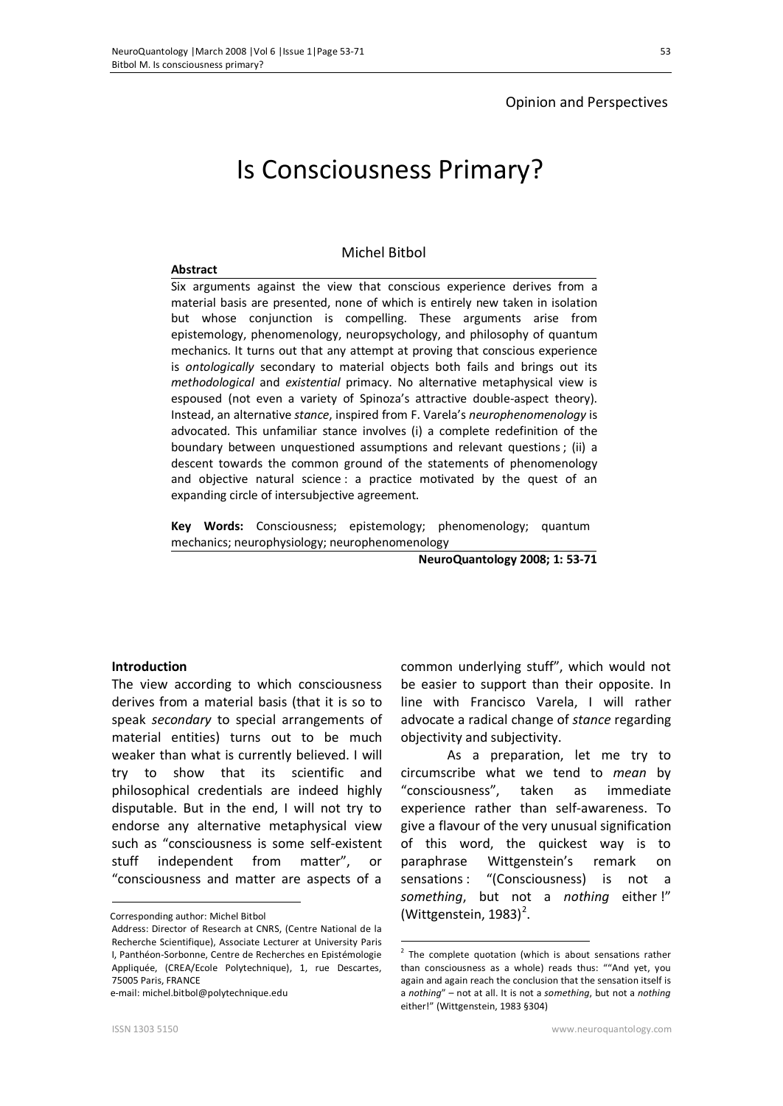**Abstract** 

# Is Consciousness Primary?

### Michel Bitbol

## Six arguments against the view that conscious experience derives from a material basis are presented, none of which is entirely new taken in isolation but whose conjunction is compelling. These arguments arise from epistemology, phenomenology, neuropsychology, and philosophy of quantum mechanics. It turns out that any attempt at proving that conscious experience is *ontologically* secondary to material objects both fails and brings out its *methodological* and *existential* primacy. No alternative metaphysical view is espoused (not even a variety of Spinoza's attractive double-aspect theory). Instead, an alternative *stance*, inspired from F. Varela's *neurophenomenology* is advocated. This unfamiliar stance involves (i) a complete redefinition of the boundary between unquestioned assumptions and relevant questions ; (ii) a descent towards the common ground of the statements of phenomenology and objective natural science : a practice motivated by the quest of an expanding circle of intersubjective agreement.

**Key Words:** Consciousness; epistemology; phenomenology; quantum mechanics; neurophysiology; neurophenomenology

<u>.</u>

**NeuroQuantology 2008; 1: 53-71**

#### **Introduction**

The view according to which consciousness derives from a material basis (that it is so to speak *secondary* to special arrangements of material entities) turns out to be much weaker than what is currently believed. I will try to show that its scientific and philosophical credentials are indeed highly disputable. But in the end, I will not try to endorse any alternative metaphysical view such as "consciousness is some self-existent stuff independent from matter", or "consciousness and matter are aspects of a

e-mail: michel.bitbol@polytechnique.edu

common underlying stuff", which would not be easier to support than their opposite. In line with Francisco Varela, I will rather advocate a radical change of *stance* regarding objectivity and subjectivity.

As a preparation, let me try to circumscribe what we tend to *mean* by "consciousness", taken as immediate experience rather than self-awareness. To give a flavour of the very unusual signification of this word, the quickest way is to paraphrase Wittgenstein's remark on sensations : "(Consciousness) is not a *something*, but not a *nothing* either !" (Wittgenstein,  $1983$ )<sup>2</sup>.

 $\overline{a}$ 

Corresponding author: Michel Bitbol

Address: Director of Research at CNRS, (Centre National de la Recherche Scientifique), Associate Lecturer at University Paris I, Panthéon-Sorbonne, Centre de Recherches en Epistémologie Appliquée, (CREA/Ecole Polytechnique), 1, rue Descartes, 75005 Paris, FRANCE

<sup>&</sup>lt;sup>2</sup> The complete quotation (which is about sensations rather than consciousness as a whole) reads thus: ""And yet, you again and again reach the conclusion that the sensation itself is a *nothing*" – not at all. It is not a *something*, but not a *nothing* either!" (Wittgenstein, 1983 §304)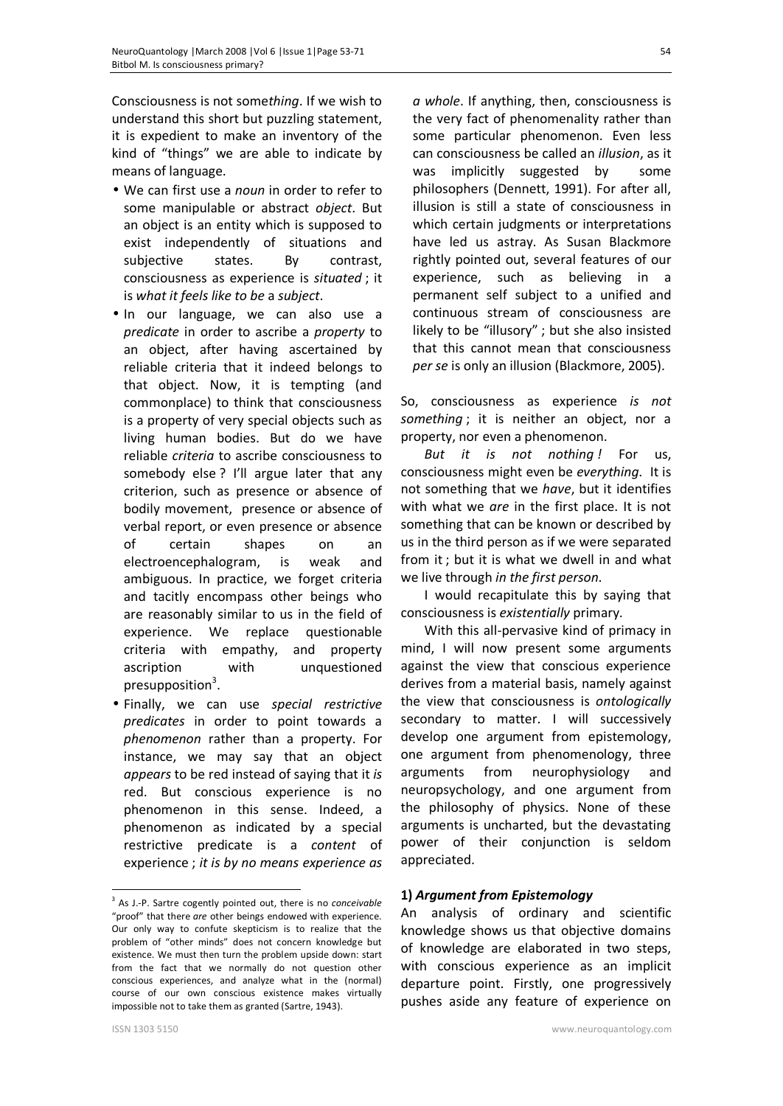Consciousness is not some*thing*. If we wish to understand this short but puzzling statement, it is expedient to make an inventory of the kind of "things" we are able to indicate by means of language.

- We can first use a *noun* in order to refer to some manipulable or abstract *object*. But an object is an entity which is supposed to exist independently of situations and subjective states. By contrast, consciousness as experience is *situated* ; it is *what it feels like to be* a *subject*.
- In our language, we can also use a *predicate* in order to ascribe a *property* to an object, after having ascertained by reliable criteria that it indeed belongs to that object. Now, it is tempting (and commonplace) to think that consciousness is a property of very special objects such as living human bodies. But do we have reliable *criteria* to ascribe consciousness to somebody else ? I'll argue later that any criterion, such as presence or absence of bodily movement, presence or absence of verbal report, or even presence or absence of certain shapes on an electroencephalogram, is weak and ambiguous. In practice, we forget criteria and tacitly encompass other beings who are reasonably similar to us in the field of experience. We replace questionable criteria with empathy, and property ascription with unquestioned presupposition<sup>3</sup>.
- Finally, we can use *special restrictive predicates* in order to point towards a *phenomenon* rather than a property. For instance, we may say that an object *appears* to be red instead of saying that it *is* red. But conscious experience is no phenomenon in this sense. Indeed, a phenomenon as indicated by a special restrictive predicate is a *content* of experience ; *it is by no means experience as*

*a whole*. If anything, then, consciousness is the very fact of phenomenality rather than some particular phenomenon. Even less can consciousness be called an *illusion*, as it was implicitly suggested by some philosophers (Dennett, 1991). For after all, illusion is still a state of consciousness in which certain judgments or interpretations have led us astray. As Susan Blackmore rightly pointed out, several features of our experience, such as believing in a permanent self subject to a unified and continuous stream of consciousness are likely to be "illusory" ; but she also insisted that this cannot mean that consciousness *per se* is only an illusion (Blackmore, 2005).

So, consciousness as experience *is not something* ; it is neither an object, nor a property, nor even a phenomenon.

*But it is not nothing !* For us, consciousness might even be *everything*. It is not something that we *have*, but it identifies with what we *are* in the first place. It is not something that can be known or described by us in the third person as if we were separated from it ; but it is what we dwell in and what we live through *in the first person*.

I would recapitulate this by saying that consciousness is *existentially* primary.

With this all-pervasive kind of primacy in mind, I will now present some arguments against the view that conscious experience derives from a material basis, namely against the view that consciousness is *ontologically* secondary to matter. I will successively develop one argument from epistemology, one argument from phenomenology, three arguments from neurophysiology and neuropsychology, and one argument from the philosophy of physics. None of these arguments is uncharted, but the devastating power of their conjunction is seldom appreciated.

## **1)** *Argument from Epistemology*

An analysis of ordinary and scientific knowledge shows us that objective domains of knowledge are elaborated in two steps, with conscious experience as an implicit departure point. Firstly, one progressively pushes aside any feature of experience on

 $\overline{a}$ 

<sup>3</sup> As J.-P. Sartre cogently pointed out, there is no *conceivable* "proof" that there *are* other beings endowed with experience. Our only way to confute skepticism is to realize that the problem of "other minds" does not concern knowledge but existence. We must then turn the problem upside down: start from the fact that we normally do not question other conscious experiences, and analyze what in the (normal) course of our own conscious existence makes virtually impossible not to take them as granted (Sartre, 1943).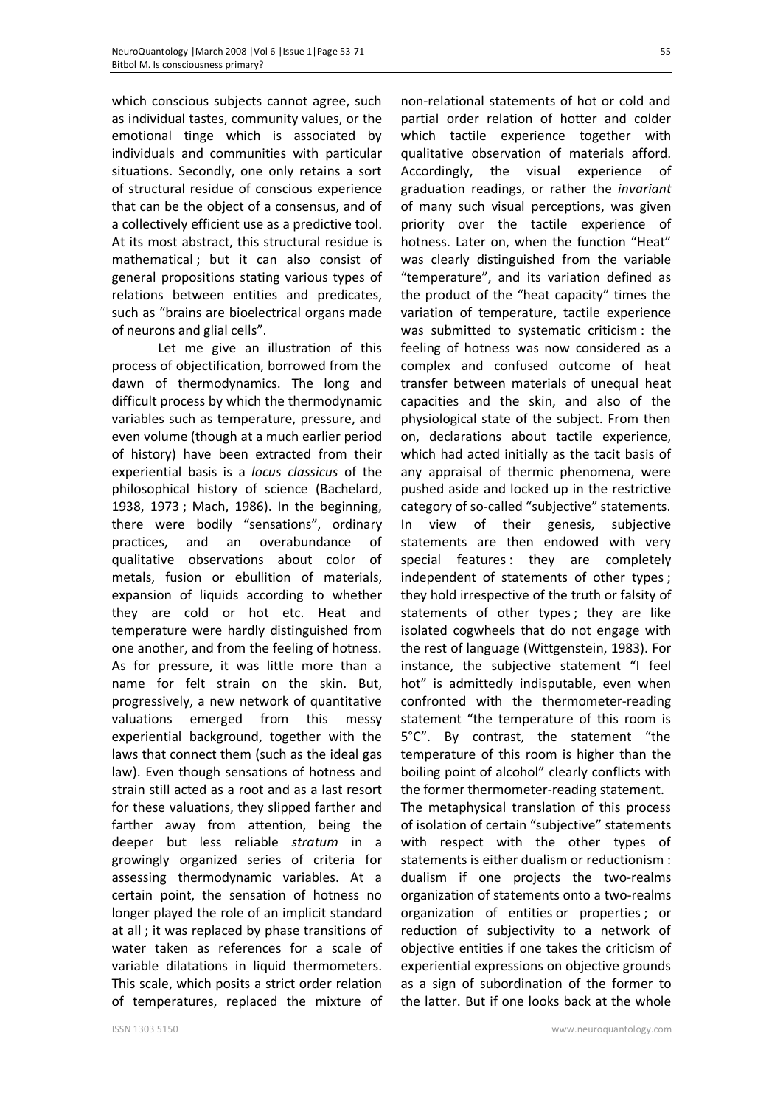which conscious subjects cannot agree, such as individual tastes, community values, or the emotional tinge which is associated by individuals and communities with particular situations. Secondly, one only retains a sort of structural residue of conscious experience that can be the object of a consensus, and of a collectively efficient use as a predictive tool. At its most abstract, this structural residue is mathematical ; but it can also consist of general propositions stating various types of relations between entities and predicates, such as "brains are bioelectrical organs made of neurons and glial cells".

Let me give an illustration of this process of objectification, borrowed from the dawn of thermodynamics. The long and difficult process by which the thermodynamic variables such as temperature, pressure, and even volume (though at a much earlier period of history) have been extracted from their experiential basis is a *locus classicus* of the philosophical history of science (Bachelard, 1938, 1973 ; Mach, 1986). In the beginning, there were bodily "sensations", ordinary practices, and an overabundance of qualitative observations about color of metals, fusion or ebullition of materials, expansion of liquids according to whether they are cold or hot etc. Heat and temperature were hardly distinguished from one another, and from the feeling of hotness. As for pressure, it was little more than a name for felt strain on the skin. But, progressively, a new network of quantitative valuations emerged from this messy experiential background, together with the laws that connect them (such as the ideal gas law). Even though sensations of hotness and strain still acted as a root and as a last resort for these valuations, they slipped farther and farther away from attention, being the deeper but less reliable *stratum* in a growingly organized series of criteria for assessing thermodynamic variables. At a certain point, the sensation of hotness no longer played the role of an implicit standard at all ; it was replaced by phase transitions of water taken as references for a scale of variable dilatations in liquid thermometers. This scale, which posits a strict order relation of temperatures, replaced the mixture of

non-relational statements of hot or cold and partial order relation of hotter and colder which tactile experience together with qualitative observation of materials afford. Accordingly, the visual experience of graduation readings, or rather the *invariant*  of many such visual perceptions, was given priority over the tactile experience of hotness. Later on, when the function "Heat" was clearly distinguished from the variable "temperature", and its variation defined as the product of the "heat capacity" times the variation of temperature, tactile experience was submitted to systematic criticism : the feeling of hotness was now considered as a complex and confused outcome of heat transfer between materials of unequal heat capacities and the skin, and also of the physiological state of the subject. From then on, declarations about tactile experience, which had acted initially as the tacit basis of any appraisal of thermic phenomena, were pushed aside and locked up in the restrictive category of so-called "subjective" statements. In view of their genesis, subjective statements are then endowed with very special features: they are completely independent of statements of other types ; they hold irrespective of the truth or falsity of statements of other types ; they are like isolated cogwheels that do not engage with the rest of language (Wittgenstein, 1983). For instance, the subjective statement "I feel hot" is admittedly indisputable, even when confronted with the thermometer-reading statement "the temperature of this room is 5°C". By contrast, the statement "the temperature of this room is higher than the boiling point of alcohol" clearly conflicts with the former thermometer-reading statement.

The metaphysical translation of this process of isolation of certain "subjective" statements with respect with the other types of statements is either dualism or reductionism : dualism if one projects the two-realms organization of statements onto a two-realms organization of entities or properties ; or reduction of subjectivity to a network of objective entities if one takes the criticism of experiential expressions on objective grounds as a sign of subordination of the former to the latter. But if one looks back at the whole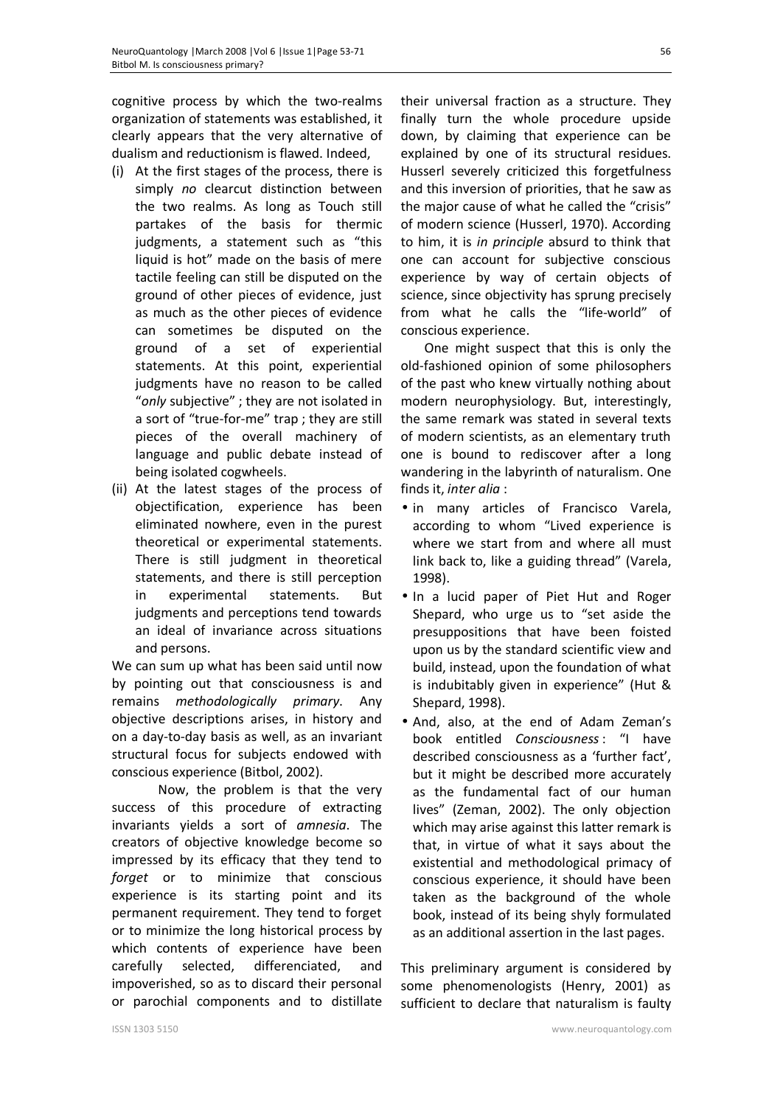cognitive process by which the two-realms organization of statements was established, it clearly appears that the very alternative of dualism and reductionism is flawed. Indeed,

- (i) At the first stages of the process, there is simply *no* clearcut distinction between the two realms. As long as Touch still partakes of the basis for thermic judgments, a statement such as "this liquid is hot" made on the basis of mere tactile feeling can still be disputed on the ground of other pieces of evidence, just as much as the other pieces of evidence can sometimes be disputed on the ground of a set of experiential statements. At this point, experiential judgments have no reason to be called "*only* subjective" ; they are not isolated in a sort of "true-for-me" trap ; they are still pieces of the overall machinery of language and public debate instead of being isolated cogwheels.
- (ii) At the latest stages of the process of objectification, experience has been eliminated nowhere, even in the purest theoretical or experimental statements. There is still judgment in theoretical statements, and there is still perception in experimental statements. But judgments and perceptions tend towards an ideal of invariance across situations and persons.

We can sum up what has been said until now by pointing out that consciousness is and remains *methodologically primary*. Any objective descriptions arises, in history and on a day-to-day basis as well, as an invariant structural focus for subjects endowed with conscious experience (Bitbol, 2002).

Now, the problem is that the very success of this procedure of extracting invariants yields a sort of *amnesia*. The creators of objective knowledge become so impressed by its efficacy that they tend to *forget* or to minimize that conscious experience is its starting point and its permanent requirement. They tend to forget or to minimize the long historical process by which contents of experience have been carefully selected, differenciated, and impoverished, so as to discard their personal or parochial components and to distillate

their universal fraction as a structure. They finally turn the whole procedure upside down, by claiming that experience can be explained by one of its structural residues. Husserl severely criticized this forgetfulness and this inversion of priorities, that he saw as the major cause of what he called the "crisis" of modern science (Husserl, 1970). According to him, it is *in principle* absurd to think that one can account for subjective conscious experience by way of certain objects of science, since objectivity has sprung precisely from what he calls the "life-world" of conscious experience.

One might suspect that this is only the old-fashioned opinion of some philosophers of the past who knew virtually nothing about modern neurophysiology. But, interestingly, the same remark was stated in several texts of modern scientists, as an elementary truth one is bound to rediscover after a long wandering in the labyrinth of naturalism. One finds it, *inter alia* :

- in many articles of Francisco Varela, according to whom "Lived experience is where we start from and where all must link back to, like a guiding thread" (Varela, 1998).
- In a lucid paper of Piet Hut and Roger Shepard, who urge us to "set aside the presuppositions that have been foisted upon us by the standard scientific view and build, instead, upon the foundation of what is indubitably given in experience" (Hut & Shepard, 1998).
- And, also, at the end of Adam Zeman's book entitled *Consciousness* : "I have described consciousness as a 'further fact', but it might be described more accurately as the fundamental fact of our human lives" (Zeman, 2002). The only objection which may arise against this latter remark is that, in virtue of what it says about the existential and methodological primacy of conscious experience, it should have been taken as the background of the whole book, instead of its being shyly formulated as an additional assertion in the last pages.

This preliminary argument is considered by some phenomenologists (Henry, 2001) as sufficient to declare that naturalism is faulty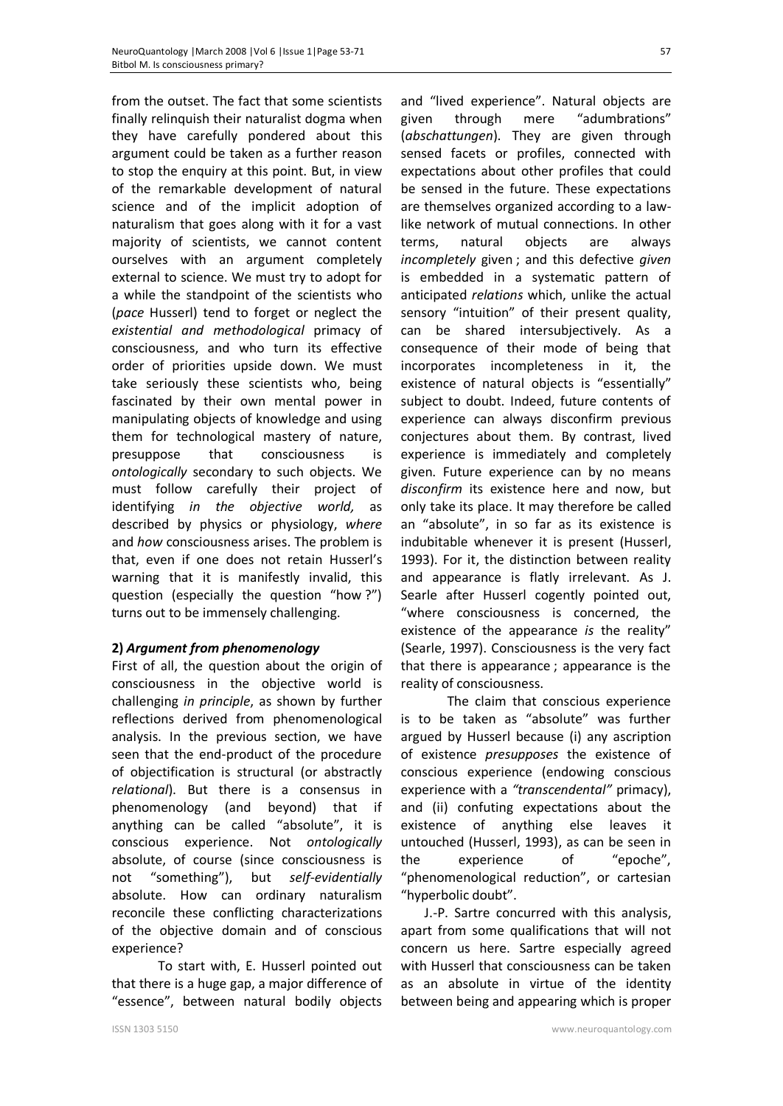from the outset. The fact that some scientists finally relinquish their naturalist dogma when they have carefully pondered about this argument could be taken as a further reason to stop the enquiry at this point. But, in view of the remarkable development of natural science and of the implicit adoption of naturalism that goes along with it for a vast majority of scientists, we cannot content ourselves with an argument completely external to science. We must try to adopt for a while the standpoint of the scientists who (*pace* Husserl) tend to forget or neglect the *existential and methodological* primacy of consciousness, and who turn its effective order of priorities upside down. We must take seriously these scientists who, being fascinated by their own mental power in manipulating objects of knowledge and using them for technological mastery of nature, presuppose that consciousness is *ontologically* secondary to such objects. We must follow carefully their project of identifying *in the objective world,* as described by physics or physiology, *where* and *how* consciousness arises. The problem is that, even if one does not retain Husserl's warning that it is manifestly invalid, this question (especially the question "how ?") turns out to be immensely challenging.

## **2)** *Argument from phenomenology*

First of all, the question about the origin of consciousness in the objective world is challenging *in principle*, as shown by further reflections derived from phenomenological analysis. In the previous section, we have seen that the end-product of the procedure of objectification is structural (or abstractly *relational*). But there is a consensus in phenomenology (and beyond) that if anything can be called "absolute", it is conscious experience. Not *ontologically* absolute, of course (since consciousness is not "something"), but *self-evidentially* absolute. How can ordinary naturalism reconcile these conflicting characterizations of the objective domain and of conscious experience?

To start with, E. Husserl pointed out that there is a huge gap, a major difference of "essence", between natural bodily objects

given through mere "adumbrations" (*abschattungen*). They are given through sensed facets or profiles, connected with expectations about other profiles that could be sensed in the future. These expectations are themselves organized according to a lawlike network of mutual connections. In other terms, natural objects are always *incompletely* given ; and this defective *given* is embedded in a systematic pattern of anticipated *relations* which, unlike the actual sensory "intuition" of their present quality, can be shared intersubjectively. As a consequence of their mode of being that incorporates incompleteness in it, the existence of natural objects is "essentially" subject to doubt. Indeed, future contents of experience can always disconfirm previous conjectures about them. By contrast, lived experience is immediately and completely given. Future experience can by no means *disconfirm* its existence here and now, but only take its place. It may therefore be called an "absolute", in so far as its existence is indubitable whenever it is present (Husserl, 1993). For it, the distinction between reality and appearance is flatly irrelevant. As J. Searle after Husserl cogently pointed out, "where consciousness is concerned, the existence of the appearance *is* the reality" (Searle, 1997). Consciousness is the very fact that there is appearance ; appearance is the reality of consciousness.

and "lived experience". Natural objects are

The claim that conscious experience is to be taken as "absolute" was further argued by Husserl because (i) any ascription of existence *presupposes* the existence of conscious experience (endowing conscious experience with a *"transcendental"* primacy), and (ii) confuting expectations about the existence of anything else leaves it untouched (Husserl, 1993), as can be seen in the experience of "epoche", "phenomenological reduction", or cartesian "hyperbolic doubt".

J.-P. Sartre concurred with this analysis, apart from some qualifications that will not concern us here. Sartre especially agreed with Husserl that consciousness can be taken as an absolute in virtue of the identity between being and appearing which is proper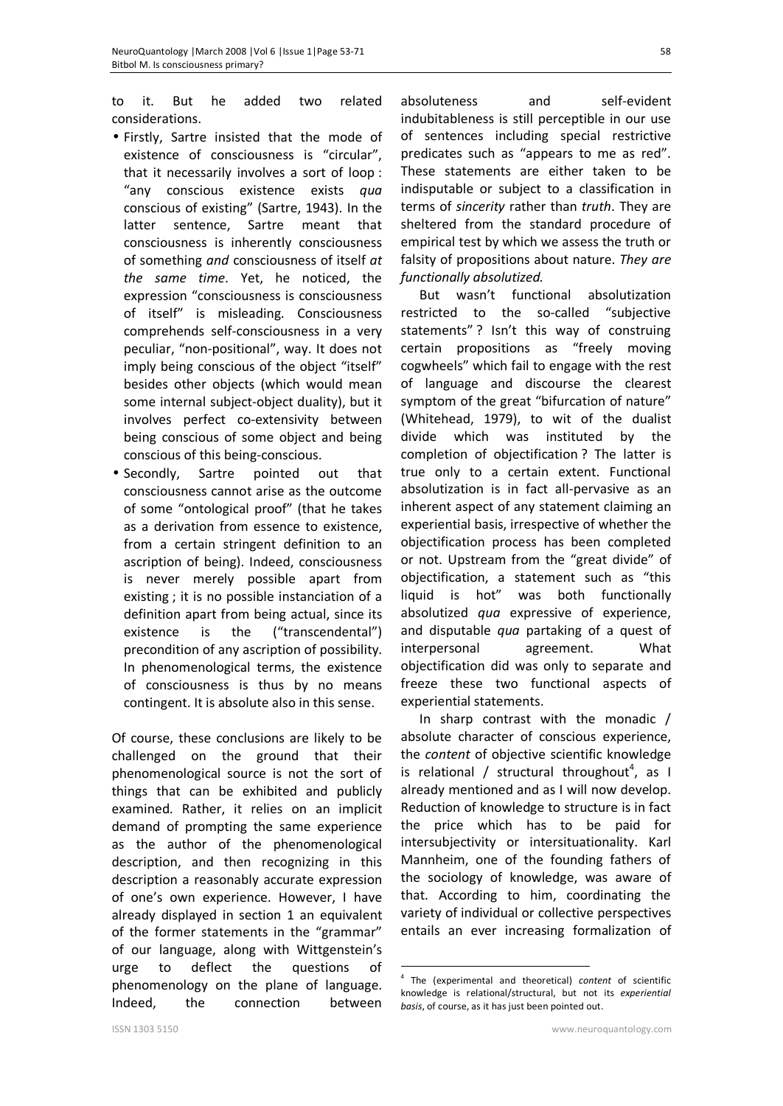to it. But he added two related considerations.

- Firstly, Sartre insisted that the mode of existence of consciousness is "circular", that it necessarily involves a sort of loop : "any conscious existence exists *qua* conscious of existing" (Sartre, 1943). In the latter sentence, Sartre meant that consciousness is inherently consciousness of something *and* consciousness of itself *at the same time*. Yet, he noticed, the expression "consciousness is consciousness of itself" is misleading. Consciousness comprehends self-consciousness in a very peculiar, "non-positional", way. It does not imply being conscious of the object "itself" besides other objects (which would mean some internal subject-object duality), but it involves perfect co-extensivity between being conscious of some object and being conscious of this being-conscious.
- Secondly, Sartre pointed out that consciousness cannot arise as the outcome of some "ontological proof" (that he takes as a derivation from essence to existence, from a certain stringent definition to an ascription of being). Indeed, consciousness is never merely possible apart from existing ; it is no possible instanciation of a definition apart from being actual, since its existence is the ("transcendental") precondition of any ascription of possibility. In phenomenological terms, the existence of consciousness is thus by no means contingent. It is absolute also in this sense.

Of course, these conclusions are likely to be challenged on the ground that their phenomenological source is not the sort of things that can be exhibited and publicly examined. Rather, it relies on an implicit demand of prompting the same experience as the author of the phenomenological description, and then recognizing in this description a reasonably accurate expression of one's own experience. However, I have already displayed in section 1 an equivalent of the former statements in the "grammar" of our language, along with Wittgenstein's urge to deflect the questions of phenomenology on the plane of language. Indeed, the connection between

absoluteness and self-evident indubitableness is still perceptible in our use of sentences including special restrictive predicates such as "appears to me as red". These statements are either taken to be indisputable or subject to a classification in terms of *sincerity* rather than *truth*. They are sheltered from the standard procedure of empirical test by which we assess the truth or falsity of propositions about nature. *They are functionally absolutized.*

But wasn't functional absolutization restricted to the so-called "subjective statements" ? Isn't this way of construing certain propositions as "freely moving cogwheels" which fail to engage with the rest of language and discourse the clearest symptom of the great "bifurcation of nature" (Whitehead, 1979), to wit of the dualist divide which was instituted by the completion of objectification ? The latter is true only to a certain extent. Functional absolutization is in fact all-pervasive as an inherent aspect of any statement claiming an experiential basis, irrespective of whether the objectification process has been completed or not. Upstream from the "great divide" of objectification, a statement such as "this liquid is hot" was both functionally absolutized *qua* expressive of experience, and disputable *qua* partaking of a quest of interpersonal agreement. What objectification did was only to separate and freeze these two functional aspects of experiential statements.

In sharp contrast with the monadic / absolute character of conscious experience, the *content* of objective scientific knowledge is relational / structural throughout<sup>4</sup>, as I already mentioned and as I will now develop. Reduction of knowledge to structure is in fact the price which has to be paid for intersubjectivity or intersituationality. Karl Mannheim, one of the founding fathers of the sociology of knowledge, was aware of that. According to him, coordinating the variety of individual or collective perspectives entails an ever increasing formalization of

<sup>&</sup>lt;u>.</u> 4 The (experimental and theoretical) *content* of scientific knowledge is relational/structural, but not its *experiential basis*, of course, as it has just been pointed out.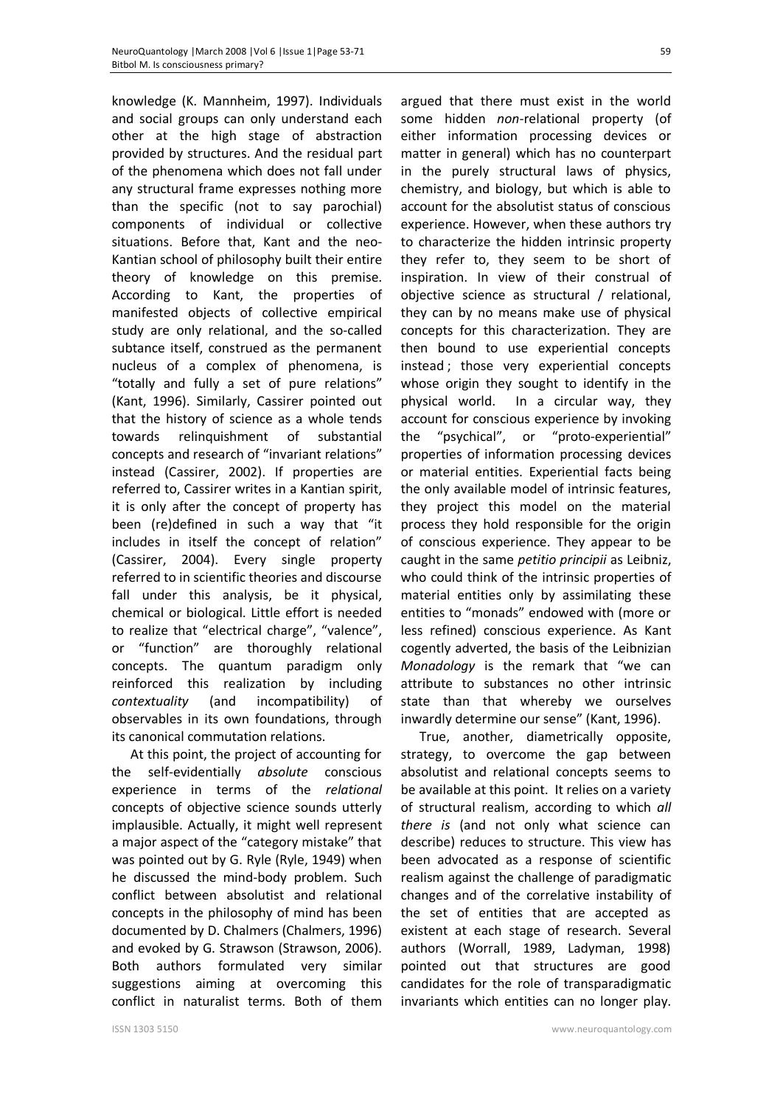knowledge (K. Mannheim, 1997). Individuals and social groups can only understand each other at the high stage of abstraction provided by structures. And the residual part of the phenomena which does not fall under any structural frame expresses nothing more than the specific (not to say parochial) components of individual or collective situations. Before that, Kant and the neo-Kantian school of philosophy built their entire theory of knowledge on this premise. According to Kant, the properties of manifested objects of collective empirical study are only relational, and the so-called subtance itself, construed as the permanent nucleus of a complex of phenomena, is "totally and fully a set of pure relations" (Kant, 1996). Similarly, Cassirer pointed out that the history of science as a whole tends towards relinquishment of substantial concepts and research of "invariant relations" instead (Cassirer, 2002). If properties are referred to, Cassirer writes in a Kantian spirit, it is only after the concept of property has been (re)defined in such a way that "it includes in itself the concept of relation" (Cassirer, 2004). Every single property referred to in scientific theories and discourse fall under this analysis, be it physical, chemical or biological. Little effort is needed to realize that "electrical charge", "valence", or "function" are thoroughly relational concepts. The quantum paradigm only reinforced this realization by including *contextuality* (and incompatibility) of observables in its own foundations, through its canonical commutation relations.

At this point, the project of accounting for the self-evidentially *absolute* conscious experience in terms of the *relational* concepts of objective science sounds utterly implausible. Actually, it might well represent a major aspect of the "category mistake" that was pointed out by G. Ryle (Ryle, 1949) when he discussed the mind-body problem. Such conflict between absolutist and relational concepts in the philosophy of mind has been documented by D. Chalmers (Chalmers, 1996) and evoked by G. Strawson (Strawson, 2006). Both authors formulated very similar suggestions aiming at overcoming this conflict in naturalist terms. Both of them

argued that there must exist in the world some hidden *non*-relational property (of either information processing devices or matter in general) which has no counterpart in the purely structural laws of physics, chemistry, and biology, but which is able to account for the absolutist status of conscious experience. However, when these authors try to characterize the hidden intrinsic property they refer to, they seem to be short of inspiration. In view of their construal of objective science as structural / relational, they can by no means make use of physical concepts for this characterization. They are then bound to use experiential concepts instead ; those very experiential concepts whose origin they sought to identify in the physical world. In a circular way, they account for conscious experience by invoking the "psychical", or "proto-experiential" properties of information processing devices or material entities. Experiential facts being the only available model of intrinsic features, they project this model on the material process they hold responsible for the origin of conscious experience. They appear to be caught in the same *petitio principii* as Leibniz, who could think of the intrinsic properties of material entities only by assimilating these entities to "monads" endowed with (more or less refined) conscious experience. As Kant cogently adverted, the basis of the Leibnizian *Monadology* is the remark that "we can attribute to substances no other intrinsic state than that whereby we ourselves inwardly determine our sense" (Kant, 1996).

True, another, diametrically opposite, strategy, to overcome the gap between absolutist and relational concepts seems to be available at this point. It relies on a variety of structural realism, according to which *all there is* (and not only what science can describe) reduces to structure. This view has been advocated as a response of scientific realism against the challenge of paradigmatic changes and of the correlative instability of the set of entities that are accepted as existent at each stage of research. Several authors (Worrall, 1989, Ladyman, 1998) pointed out that structures are good candidates for the role of transparadigmatic invariants which entities can no longer play.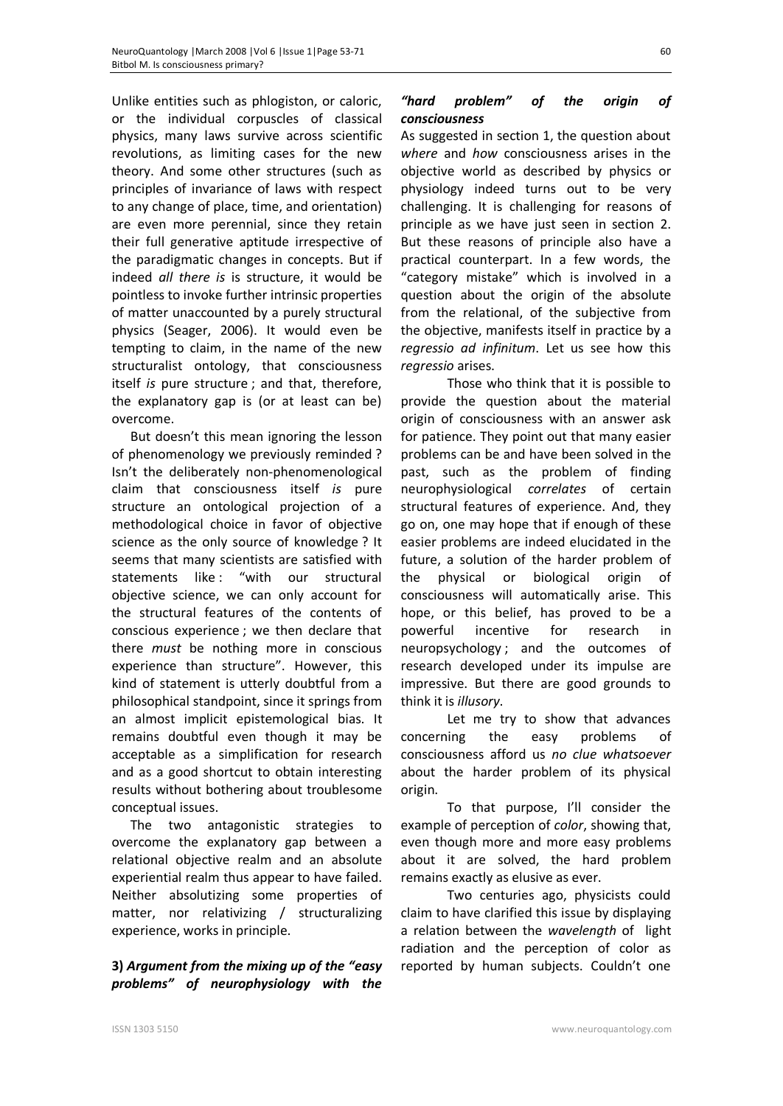Unlike entities such as phlogiston, or caloric, or the individual corpuscles of classical physics, many laws survive across scientific revolutions, as limiting cases for the new theory. And some other structures (such as principles of invariance of laws with respect to any change of place, time, and orientation) are even more perennial, since they retain their full generative aptitude irrespective of the paradigmatic changes in concepts. But if indeed *all there is* is structure, it would be pointless to invoke further intrinsic properties of matter unaccounted by a purely structural physics (Seager, 2006). It would even be tempting to claim, in the name of the new structuralist ontology, that consciousness itself *is* pure structure ; and that, therefore, the explanatory gap is (or at least can be) overcome.

But doesn't this mean ignoring the lesson of phenomenology we previously reminded ? Isn't the deliberately non-phenomenological claim that consciousness itself *is* pure structure an ontological projection of a methodological choice in favor of objective science as the only source of knowledge ? It seems that many scientists are satisfied with statements like: "with our structural objective science, we can only account for the structural features of the contents of conscious experience ; we then declare that there *must* be nothing more in conscious experience than structure". However, this kind of statement is utterly doubtful from a philosophical standpoint, since it springs from an almost implicit epistemological bias. It remains doubtful even though it may be acceptable as a simplification for research and as a good shortcut to obtain interesting results without bothering about troublesome conceptual issues.

The two antagonistic strategies to overcome the explanatory gap between a relational objective realm and an absolute experiential realm thus appear to have failed. Neither absolutizing some properties of matter, nor relativizing / structuralizing experience, works in principle.

# **3)** *Argument from the mixing up of the "easy problems" of neurophysiology with the*

# *"hard problem" of the origin of consciousness*

As suggested in section 1, the question about *where* and *how* consciousness arises in the objective world as described by physics or physiology indeed turns out to be very challenging. It is challenging for reasons of principle as we have just seen in section 2. But these reasons of principle also have a practical counterpart. In a few words, the "category mistake" which is involved in a question about the origin of the absolute from the relational, of the subjective from the objective, manifests itself in practice by a *regressio ad infinitum*. Let us see how this *regressio* arises.

Those who think that it is possible to provide the question about the material origin of consciousness with an answer ask for patience. They point out that many easier problems can be and have been solved in the past, such as the problem of finding neurophysiological *correlates* of certain structural features of experience. And, they go on, one may hope that if enough of these easier problems are indeed elucidated in the future, a solution of the harder problem of the physical or biological origin of consciousness will automatically arise. This hope, or this belief, has proved to be a powerful incentive for research in neuropsychology ; and the outcomes of research developed under its impulse are impressive. But there are good grounds to think it is *illusory*.

Let me try to show that advances concerning the easy problems of consciousness afford us *no clue whatsoever* about the harder problem of its physical origin.

To that purpose, I'll consider the example of perception of *color*, showing that, even though more and more easy problems about it are solved, the hard problem remains exactly as elusive as ever.

Two centuries ago, physicists could claim to have clarified this issue by displaying a relation between the *wavelength* of light radiation and the perception of color as reported by human subjects. Couldn't one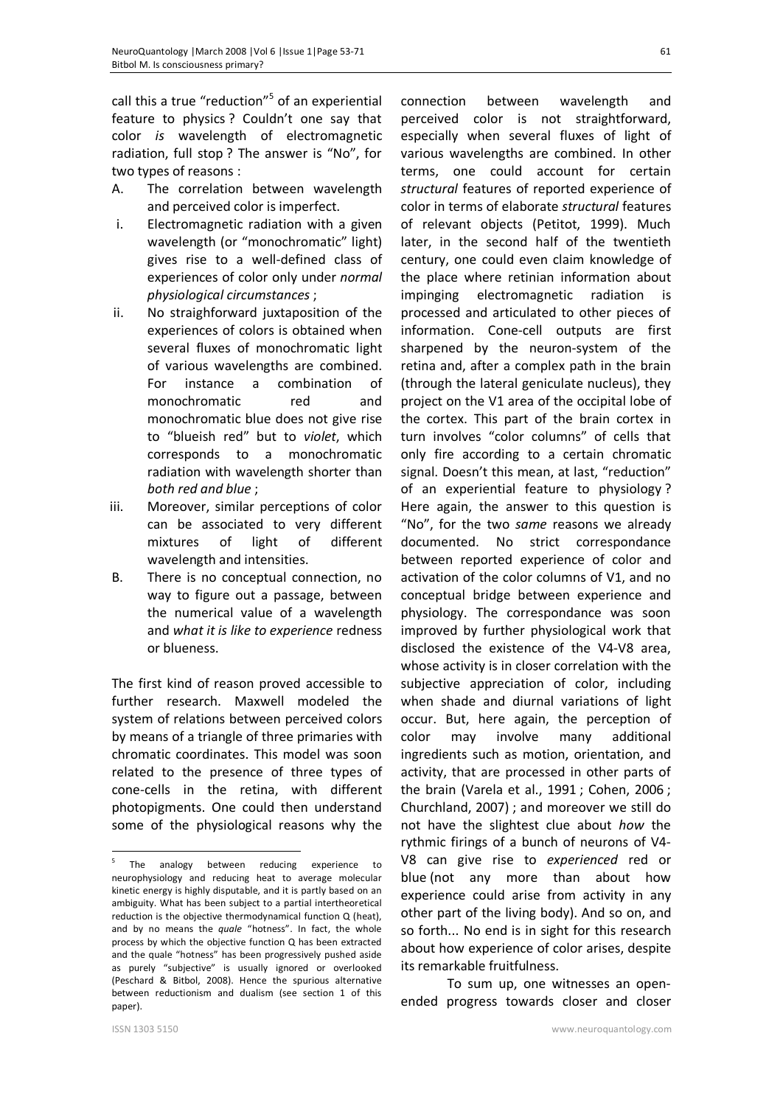call this a true "reduction"<sup>5</sup> of an experiential feature to physics ? Couldn't one say that color *is* wavelength of electromagnetic radiation, full stop ? The answer is "No", for two types of reasons :

- A. The correlation between wavelength and perceived color is imperfect.
- i. Electromagnetic radiation with a given wavelength (or "monochromatic" light) gives rise to a well-defined class of experiences of color only under *normal physiological circumstances* ;
- ii. No straighforward juxtaposition of the experiences of colors is obtained when several fluxes of monochromatic light of various wavelengths are combined. For instance a combination of monochromatic red and monochromatic blue does not give rise to "blueish red" but to *violet*, which corresponds to a monochromatic radiation with wavelength shorter than *both red and blue* ;
- iii. Moreover, similar perceptions of color can be associated to very different mixtures of light of different wavelength and intensities.
- B. There is no conceptual connection, no way to figure out a passage, between the numerical value of a wavelength and *what it is like to experience* redness or blueness.

The first kind of reason proved accessible to further research. Maxwell modeled the system of relations between perceived colors by means of a triangle of three primaries with chromatic coordinates. This model was soon related to the presence of three types of cone-cells in the retina, with different photopigments. One could then understand some of the physiological reasons why the

connection between wavelength and perceived color is not straightforward, especially when several fluxes of light of various wavelengths are combined. In other terms, one could account for certain *structural* features of reported experience of color in terms of elaborate *structural* features of relevant objects (Petitot, 1999). Much later, in the second half of the twentieth century, one could even claim knowledge of the place where retinian information about impinging electromagnetic radiation is processed and articulated to other pieces of information. Cone-cell outputs are first sharpened by the neuron-system of the retina and, after a complex path in the brain (through the lateral geniculate nucleus), they project on the V1 area of the occipital lobe of the cortex. This part of the brain cortex in turn involves "color columns" of cells that only fire according to a certain chromatic signal. Doesn't this mean, at last, "reduction" of an experiential feature to physiology ? Here again, the answer to this question is "No", for the two *same* reasons we already documented. No strict correspondance between reported experience of color and activation of the color columns of V1, and no conceptual bridge between experience and physiology. The correspondance was soon improved by further physiological work that disclosed the existence of the V4-V8 area, whose activity is in closer correlation with the subjective appreciation of color, including when shade and diurnal variations of light occur. But, here again, the perception of color may involve many additional ingredients such as motion, orientation, and activity, that are processed in other parts of the brain (Varela et al., 1991 ; Cohen, 2006 ; Churchland, 2007) ; and moreover we still do not have the slightest clue about *how* the rythmic firings of a bunch of neurons of V4- V8 can give rise to *experienced* red or blue (not any more than about how experience could arise from activity in any other part of the living body). And so on, and so forth... No end is in sight for this research about how experience of color arises, despite its remarkable fruitfulness.

To sum up, one witnesses an openended progress towards closer and closer

<sup>-&</sup>lt;br>5 The analogy between reducing experience to neurophysiology and reducing heat to average molecular kinetic energy is highly disputable, and it is partly based on an ambiguity. What has been subject to a partial intertheoretical reduction is the objective thermodynamical function Q (heat), and by no means the *quale* "hotness". In fact, the whole process by which the objective function Q has been extracted and the quale "hotness" has been progressively pushed aside as purely "subjective" is usually ignored or overlooked (Peschard & Bitbol, 2008). Hence the spurious alternative between reductionism and dualism (see section 1 of this paper).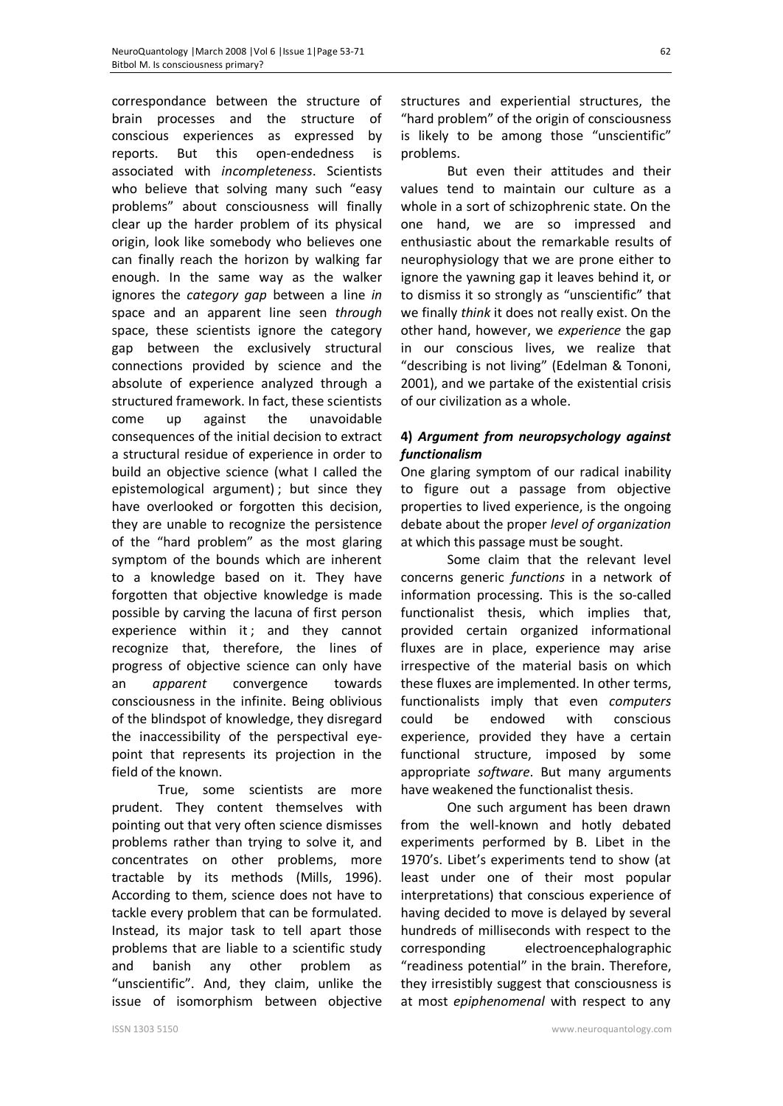correspondance between the structure of brain processes and the structure of conscious experiences as expressed by reports. But this open-endedness is associated with *incompleteness*. Scientists who believe that solving many such "easy problems" about consciousness will finally clear up the harder problem of its physical origin, look like somebody who believes one can finally reach the horizon by walking far enough. In the same way as the walker ignores the *category gap* between a line *in* space and an apparent line seen *through* space, these scientists ignore the category gap between the exclusively structural connections provided by science and the absolute of experience analyzed through a structured framework. In fact, these scientists come up against the unavoidable consequences of the initial decision to extract a structural residue of experience in order to build an objective science (what I called the epistemological argument) ; but since they have overlooked or forgotten this decision, they are unable to recognize the persistence of the "hard problem" as the most glaring symptom of the bounds which are inherent to a knowledge based on it. They have forgotten that objective knowledge is made possible by carving the lacuna of first person experience within it; and they cannot recognize that, therefore, the lines of progress of objective science can only have an *apparent* convergence towards consciousness in the infinite. Being oblivious of the blindspot of knowledge, they disregard the inaccessibility of the perspectival eyepoint that represents its projection in the field of the known.

True, some scientists are more prudent. They content themselves with pointing out that very often science dismisses problems rather than trying to solve it, and concentrates on other problems, more tractable by its methods (Mills, 1996). According to them, science does not have to tackle every problem that can be formulated. Instead, its major task to tell apart those problems that are liable to a scientific study and banish any other problem as "unscientific". And, they claim, unlike the issue of isomorphism between objective

structures and experiential structures, the "hard problem" of the origin of consciousness is likely to be among those "unscientific" problems.

But even their attitudes and their values tend to maintain our culture as a whole in a sort of schizophrenic state. On the one hand, we are so impressed and enthusiastic about the remarkable results of neurophysiology that we are prone either to ignore the yawning gap it leaves behind it, or to dismiss it so strongly as "unscientific" that we finally *think* it does not really exist. On the other hand, however, we *experience* the gap in our conscious lives, we realize that "describing is not living" (Edelman & Tononi, 2001), and we partake of the existential crisis of our civilization as a whole.

## **4)** *Argument from neuropsychology against functionalism*

One glaring symptom of our radical inability to figure out a passage from objective properties to lived experience, is the ongoing debate about the proper *level of organization* at which this passage must be sought.

Some claim that the relevant level concerns generic *functions* in a network of information processing. This is the so-called functionalist thesis, which implies that, provided certain organized informational fluxes are in place, experience may arise irrespective of the material basis on which these fluxes are implemented. In other terms, functionalists imply that even *computers* could be endowed with conscious experience, provided they have a certain functional structure, imposed by some appropriate *software*. But many arguments have weakened the functionalist thesis.

One such argument has been drawn from the well-known and hotly debated experiments performed by B. Libet in the 1970's. Libet's experiments tend to show (at least under one of their most popular interpretations) that conscious experience of having decided to move is delayed by several hundreds of milliseconds with respect to the corresponding electroencephalographic "readiness potential" in the brain. Therefore, they irresistibly suggest that consciousness is at most *epiphenomenal* with respect to any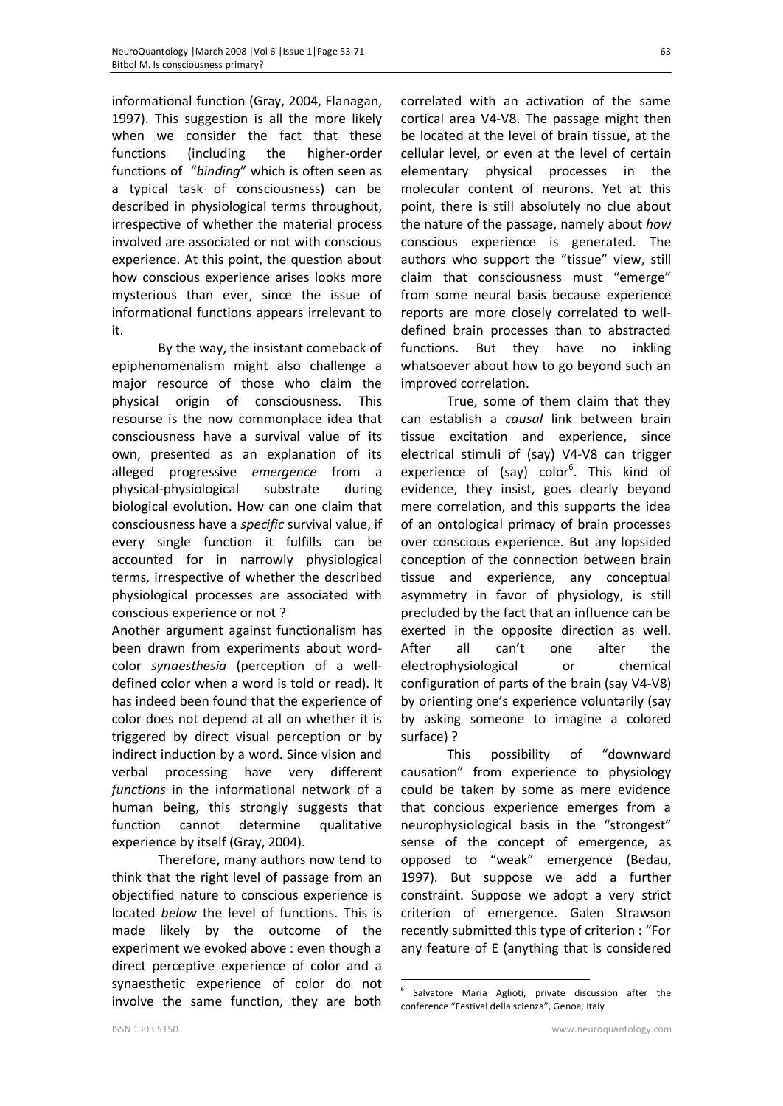informational function (Gray, 2004, Flanagan, 1997). This suggestion is all the more likely when we consider the fact that these functions (including the higher-order functions of "*binding*" which is often seen as a typical task of consciousness) can be described in physiological terms throughout, irrespective of whether the material process involved are associated or not with conscious experience. At this point, the question about how conscious experience arises looks more mysterious than ever, since the issue of informational functions appears irrelevant to it.

By the way, the insistant comeback of epiphenomenalism might also challenge a major resource of those who claim the physical origin of consciousness. This resourse is the now commonplace idea that consciousness have a survival value of its own, presented as an explanation of its alleged progressive *emergence* from a physical-physiological substrate during biological evolution. How can one claim that consciousness have a *specific* survival value, if every single function it fulfills can be accounted for in narrowly physiological terms, irrespective of whether the described physiological processes are associated with conscious experience or not ?

Another argument against functionalism has been drawn from experiments about wordcolor *synaesthesia* (perception of a welldefined color when a word is told or read). It has indeed been found that the experience of color does not depend at all on whether it is triggered by direct visual perception or by indirect induction by a word. Since vision and verbal processing have very different *functions* in the informational network of a human being, this strongly suggests that function cannot determine qualitative experience by itself (Gray, 2004).

Therefore, many authors now tend to think that the right level of passage from an objectified nature to conscious experience is located *below* the level of functions. This is made likely by the outcome of the experiment we evoked above : even though a direct perceptive experience of color and a synaesthetic experience of color do not involve the same function, they are both

correlated with an activation of the same cortical area V4-V8. The passage might then be located at the level of brain tissue, at the cellular level, or even at the level of certain elementary physical processes in the molecular content of neurons. Yet at this point, there is still absolutely no clue about the nature of the passage, namely about *how* conscious experience is generated. The authors who support the "tissue" view, still claim that consciousness must "emerge" from some neural basis because experience reports are more closely correlated to welldefined brain processes than to abstracted functions. But they have no inkling whatsoever about how to go beyond such an improved correlation.

True, some of them claim that they can establish a *causal* link between brain tissue excitation and experience, since electrical stimuli of (say) V4-V8 can trigger experience of (say) color<sup>6</sup>. This kind of evidence, they insist, goes clearly beyond mere correlation, and this supports the idea of an ontological primacy of brain processes over conscious experience. But any lopsided conception of the connection between brain tissue and experience, any conceptual asymmetry in favor of physiology, is still precluded by the fact that an influence can be exerted in the opposite direction as well. After all can't one alter the electrophysiological or chemical configuration of parts of the brain (say V4-V8) by orienting one's experience voluntarily (say by asking someone to imagine a colored surface) ?

This possibility of "downward causation" from experience to physiology could be taken by some as mere evidence that concious experience emerges from a neurophysiological basis in the "strongest" sense of the concept of emergence, as opposed to "weak" emergence (Bedau, 1997). But suppose we add a further constraint. Suppose we adopt a very strict criterion of emergence. Galen Strawson recently submitted this type of criterion : "For any feature of E (anything that is considered

<u>.</u>

<sup>&</sup>lt;sup>6</sup> Salvatore Maria Aglioti, private discussion after the conference "Festival della scienza", Genoa, Italy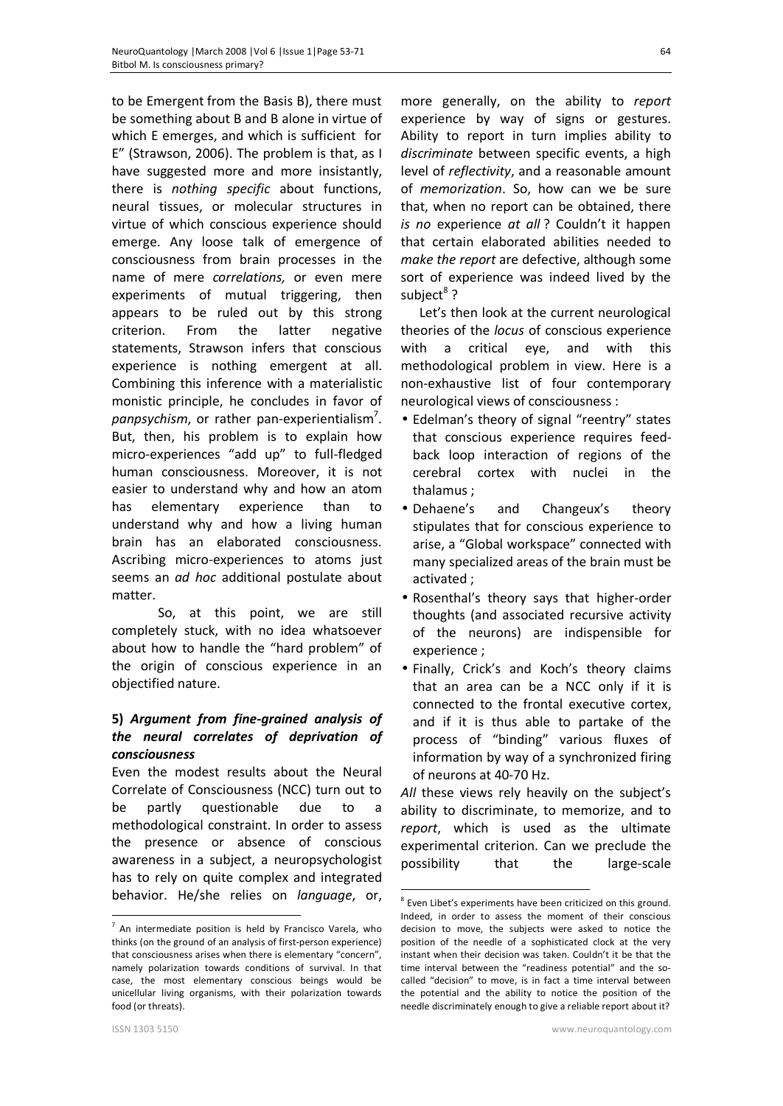to be Emergent from the Basis B), there must be something about B and B alone in virtue of which E emerges, and which is sufficient for E" (Strawson, 2006). The problem is that, as I have suggested more and more insistantly, there is *nothing specific* about functions, neural tissues, or molecular structures in virtue of which conscious experience should emerge. Any loose talk of emergence of consciousness from brain processes in the name of mere *correlations,* or even mere experiments of mutual triggering, then appears to be ruled out by this strong criterion. From the latter negative statements, Strawson infers that conscious experience is nothing emergent at all. Combining this inference with a materialistic monistic principle, he concludes in favor of panpsychism, or rather pan-experientialism<sup>7</sup>. But, then, his problem is to explain how micro-experiences "add up" to full-fledged human consciousness. Moreover, it is not easier to understand why and how an atom has elementary experience than to understand why and how a living human brain has an elaborated consciousness. Ascribing micro-experiences to atoms just seems an *ad hoc* additional postulate about matter.

So, at this point, we are still completely stuck, with no idea whatsoever about how to handle the "hard problem" of the origin of conscious experience in an objectified nature.

# **5)** *Argument from fine-grained analysis of the neural correlates of deprivation of consciousness*

Even the modest results about the Neural Correlate of Consciousness (NCC) turn out to be partly questionable due to a methodological constraint. In order to assess the presence or absence of conscious awareness in a subject, a neuropsychologist has to rely on quite complex and integrated behavior. He/she relies on *language*, or,

more generally, on the ability to *report* experience by way of signs or gestures. Ability to report in turn implies ability to *discriminate* between specific events, a high level of *reflectivity*, and a reasonable amount of *memorization*. So, how can we be sure that, when no report can be obtained, there *is no* experience *at all* ? Couldn't it happen that certain elaborated abilities needed to *make the report* are defective, although some sort of experience was indeed lived by the subject<sup>8</sup> ?

Let's then look at the current neurological theories of the *locus* of conscious experience with a critical eye, and with this methodological problem in view. Here is a non-exhaustive list of four contemporary neurological views of consciousness :

- Edelman's theory of signal "reentry" states that conscious experience requires feedback loop interaction of regions of the cerebral cortex with nuclei in the thalamus ;
- Dehaene's and Changeux's theory stipulates that for conscious experience to arise, a "Global workspace" connected with many specialized areas of the brain must be activated ;
- Rosenthal's theory says that higher-order thoughts (and associated recursive activity of the neurons) are indispensible for experience ;
- Finally, Crick's and Koch's theory claims that an area can be a NCC only if it is connected to the frontal executive cortex, and if it is thus able to partake of the process of "binding" various fluxes of information by way of a synchronized firing of neurons at 40-70 Hz.

*All* these views rely heavily on the subject's ability to discriminate, to memorize, and to *report*, which is used as the ultimate experimental criterion. Can we preclude the possibility that the large-scale

1

 $\overline{a}$ 

 $^7$  An intermediate position is held by Francisco Varela, who thinks (on the ground of an analysis of first-person experience) that consciousness arises when there is elementary "concern", namely polarization towards conditions of survival. In that case, the most elementary conscious beings would be unicellular living organisms, with their polarization towards food (or threats).

 $8$  Even Libet's experiments have been criticized on this ground. Indeed, in order to assess the moment of their conscious decision to move, the subjects were asked to notice the position of the needle of a sophisticated clock at the very instant when their decision was taken. Couldn't it be that the time interval between the "readiness potential" and the socalled "decision" to move, is in fact a time interval between the potential and the ability to notice the position of the needle discriminately enough to give a reliable report about it?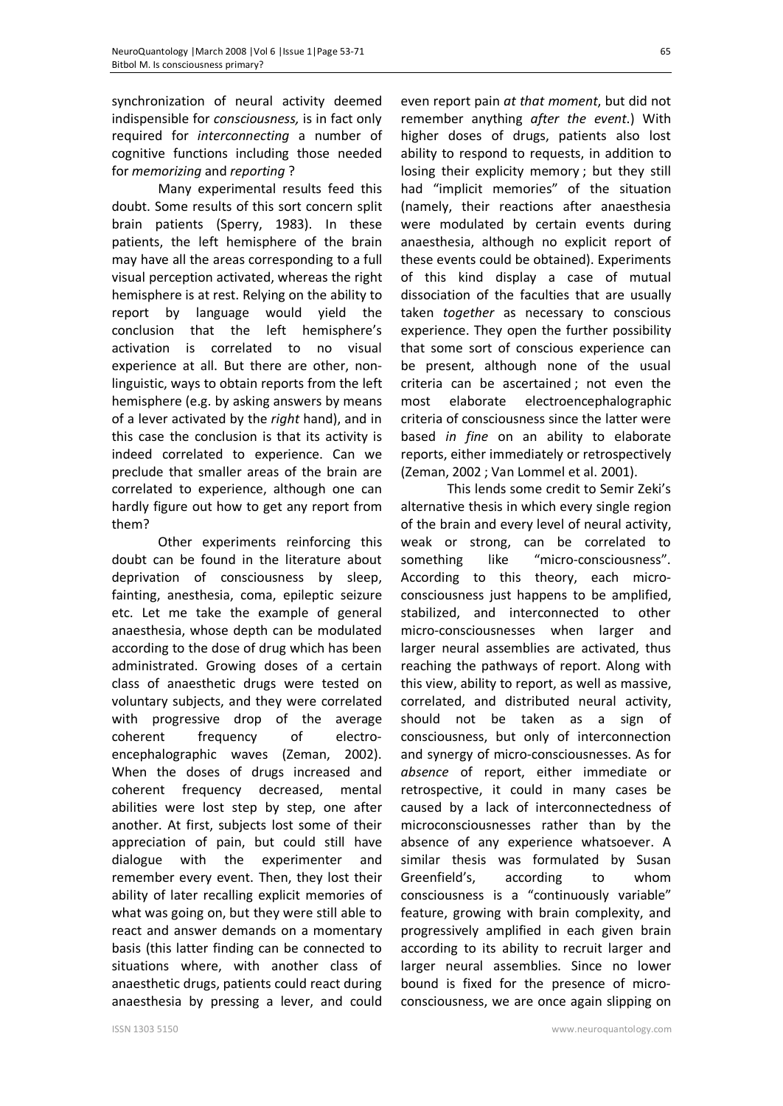synchronization of neural activity deemed indispensible for *consciousness,* is in fact only required for *interconnecting* a number of cognitive functions including those needed for *memorizing* and *reporting* ?

Many experimental results feed this doubt. Some results of this sort concern split brain patients (Sperry, 1983). In these patients, the left hemisphere of the brain may have all the areas corresponding to a full visual perception activated, whereas the right hemisphere is at rest. Relying on the ability to report by language would yield the conclusion that the left hemisphere's activation is correlated to no visual experience at all. But there are other, nonlinguistic, ways to obtain reports from the left hemisphere (e.g. by asking answers by means of a lever activated by the *right* hand), and in this case the conclusion is that its activity is indeed correlated to experience. Can we preclude that smaller areas of the brain are correlated to experience, although one can hardly figure out how to get any report from them?

Other experiments reinforcing this doubt can be found in the literature about deprivation of consciousness by sleep, fainting, anesthesia, coma, epileptic seizure etc. Let me take the example of general anaesthesia, whose depth can be modulated according to the dose of drug which has been administrated. Growing doses of a certain class of anaesthetic drugs were tested on voluntary subjects, and they were correlated with progressive drop of the average coherent frequency of electroencephalographic waves (Zeman, 2002). When the doses of drugs increased and coherent frequency decreased, mental abilities were lost step by step, one after another. At first, subjects lost some of their appreciation of pain, but could still have dialogue with the experimenter and remember every event. Then, they lost their ability of later recalling explicit memories of what was going on, but they were still able to react and answer demands on a momentary basis (this latter finding can be connected to situations where, with another class of anaesthetic drugs, patients could react during anaesthesia by pressing a lever, and could

even report pain *at that moment*, but did not remember anything *after the event*.) With higher doses of drugs, patients also lost ability to respond to requests, in addition to losing their explicity memory ; but they still had "implicit memories" of the situation (namely, their reactions after anaesthesia were modulated by certain events during anaesthesia, although no explicit report of these events could be obtained). Experiments of this kind display a case of mutual dissociation of the faculties that are usually taken *together* as necessary to conscious experience. They open the further possibility that some sort of conscious experience can be present, although none of the usual criteria can be ascertained ; not even the most elaborate electroencephalographic criteria of consciousness since the latter were based *in fine* on an ability to elaborate reports, either immediately or retrospectively (Zeman, 2002 ; Van Lommel et al. 2001).

This lends some credit to Semir Zeki's alternative thesis in which every single region of the brain and every level of neural activity, weak or strong, can be correlated to something like "micro-consciousness". According to this theory, each microconsciousness just happens to be amplified, stabilized, and interconnected to other micro-consciousnesses when larger and larger neural assemblies are activated, thus reaching the pathways of report. Along with this view, ability to report, as well as massive, correlated, and distributed neural activity, should not be taken as a sign of consciousness, but only of interconnection and synergy of micro-consciousnesses. As for *absence* of report, either immediate or retrospective, it could in many cases be caused by a lack of interconnectedness of microconsciousnesses rather than by the absence of any experience whatsoever. A similar thesis was formulated by Susan Greenfield's, according to whom consciousness is a "continuously variable" feature, growing with brain complexity, and progressively amplified in each given brain according to its ability to recruit larger and larger neural assemblies. Since no lower bound is fixed for the presence of microconsciousness, we are once again slipping on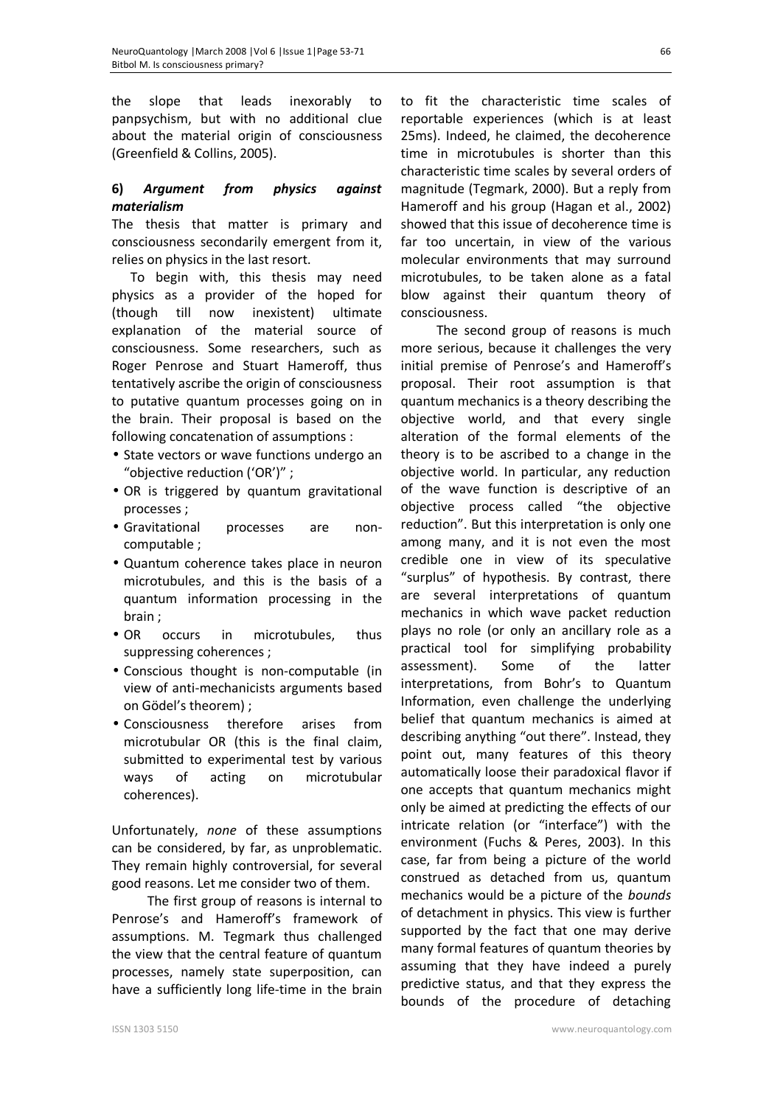the slope that leads inexorably to panpsychism, but with no additional clue about the material origin of consciousness (Greenfield & Collins, 2005).

# **6)** *Argument from physics against materialism*

The thesis that matter is primary and consciousness secondarily emergent from it, relies on physics in the last resort.

To begin with, this thesis may need physics as a provider of the hoped for (though till now inexistent) ultimate explanation of the material source of consciousness. Some researchers, such as Roger Penrose and Stuart Hameroff, thus tentatively ascribe the origin of consciousness to putative quantum processes going on in the brain. Their proposal is based on the following concatenation of assumptions :

- State vectors or wave functions undergo an "objective reduction ('OR')" ;
- OR is triggered by quantum gravitational processes ;
- Gravitational processes are noncomputable ;
- Quantum coherence takes place in neuron microtubules, and this is the basis of a quantum information processing in the brain ;
- OR occurs in microtubules, thus suppressing coherences ;
- Conscious thought is non-computable (in view of anti-mechanicists arguments based on Gödel's theorem) ;
- Consciousness therefore arises from microtubular OR (this is the final claim, submitted to experimental test by various ways of acting on microtubular coherences).

Unfortunately, *none* of these assumptions can be considered, by far, as unproblematic. They remain highly controversial, for several good reasons. Let me consider two of them.

The first group of reasons is internal to Penrose's and Hameroff's framework of assumptions. M. Tegmark thus challenged the view that the central feature of quantum processes, namely state superposition, can have a sufficiently long life-time in the brain

to fit the characteristic time scales of reportable experiences (which is at least 25ms). Indeed, he claimed, the decoherence time in microtubules is shorter than this characteristic time scales by several orders of magnitude (Tegmark, 2000). But a reply from Hameroff and his group (Hagan et al., 2002) showed that this issue of decoherence time is far too uncertain, in view of the various molecular environments that may surround microtubules, to be taken alone as a fatal blow against their quantum theory of consciousness.

The second group of reasons is much more serious, because it challenges the very initial premise of Penrose's and Hameroff's proposal. Their root assumption is that quantum mechanics is a theory describing the objective world, and that every single alteration of the formal elements of the theory is to be ascribed to a change in the objective world. In particular, any reduction of the wave function is descriptive of an objective process called "the objective reduction". But this interpretation is only one among many, and it is not even the most credible one in view of its speculative "surplus" of hypothesis. By contrast, there are several interpretations of quantum mechanics in which wave packet reduction plays no role (or only an ancillary role as a practical tool for simplifying probability assessment). Some of the latter interpretations, from Bohr's to Quantum Information, even challenge the underlying belief that quantum mechanics is aimed at describing anything "out there". Instead, they point out, many features of this theory automatically loose their paradoxical flavor if one accepts that quantum mechanics might only be aimed at predicting the effects of our intricate relation (or "interface") with the environment (Fuchs & Peres, 2003). In this case, far from being a picture of the world construed as detached from us, quantum mechanics would be a picture of the *bounds* of detachment in physics. This view is further supported by the fact that one may derive many formal features of quantum theories by assuming that they have indeed a purely predictive status, and that they express the bounds of the procedure of detaching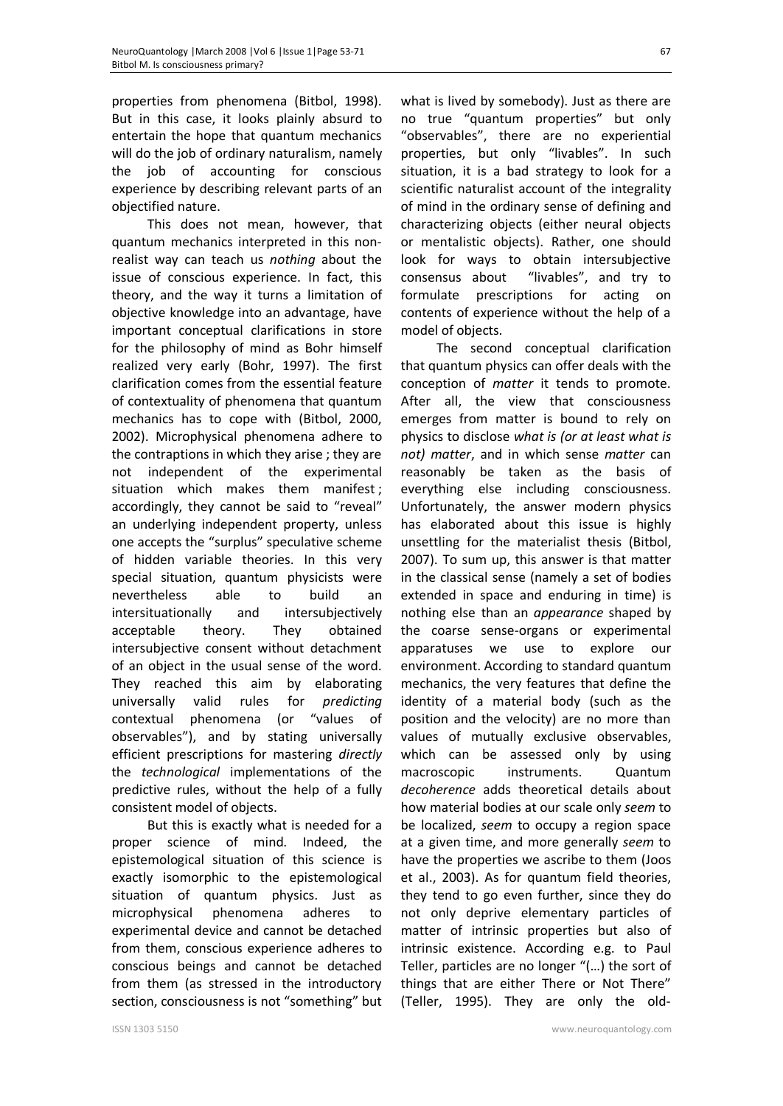properties from phenomena (Bitbol, 1998). But in this case, it looks plainly absurd to entertain the hope that quantum mechanics will do the job of ordinary naturalism, namely the job of accounting for conscious experience by describing relevant parts of an

objectified nature. This does not mean, however, that quantum mechanics interpreted in this nonrealist way can teach us *nothing* about the issue of conscious experience. In fact, this theory, and the way it turns a limitation of objective knowledge into an advantage, have important conceptual clarifications in store for the philosophy of mind as Bohr himself realized very early (Bohr, 1997). The first clarification comes from the essential feature of contextuality of phenomena that quantum mechanics has to cope with (Bitbol, 2000, 2002). Microphysical phenomena adhere to the contraptions in which they arise ; they are not independent of the experimental situation which makes them manifest ; accordingly, they cannot be said to "reveal" an underlying independent property, unless one accepts the "surplus" speculative scheme of hidden variable theories. In this very special situation, quantum physicists were nevertheless able to build an intersituationally and intersubjectively acceptable theory. They obtained intersubjective consent without detachment of an object in the usual sense of the word. They reached this aim by elaborating universally valid rules for *predicting* contextual phenomena (or "values of observables"), and by stating universally efficient prescriptions for mastering *directly* the *technological* implementations of the predictive rules, without the help of a fully consistent model of objects.

But this is exactly what is needed for a proper science of mind. Indeed, the epistemological situation of this science is exactly isomorphic to the epistemological situation of quantum physics. Just as microphysical phenomena adheres to experimental device and cannot be detached from them, conscious experience adheres to conscious beings and cannot be detached from them (as stressed in the introductory section, consciousness is not "something" but

what is lived by somebody). Just as there are no true "quantum properties" but only "observables", there are no experiential properties, but only "livables". In such situation, it is a bad strategy to look for a scientific naturalist account of the integrality of mind in the ordinary sense of defining and characterizing objects (either neural objects or mentalistic objects). Rather, one should look for ways to obtain intersubjective consensus about "livables", and try to formulate prescriptions for acting on contents of experience without the help of a model of objects.

The second conceptual clarification that quantum physics can offer deals with the conception of *matter* it tends to promote. After all, the view that consciousness emerges from matter is bound to rely on physics to disclose *what is (or at least what is not) matter*, and in which sense *matter* can reasonably be taken as the basis of everything else including consciousness. Unfortunately, the answer modern physics has elaborated about this issue is highly unsettling for the materialist thesis (Bitbol, 2007). To sum up, this answer is that matter in the classical sense (namely a set of bodies extended in space and enduring in time) is nothing else than an *appearance* shaped by the coarse sense-organs or experimental apparatuses we use to explore our environment. According to standard quantum mechanics, the very features that define the identity of a material body (such as the position and the velocity) are no more than values of mutually exclusive observables, which can be assessed only by using macroscopic instruments. Quantum *decoherence* adds theoretical details about how material bodies at our scale only *seem* to be localized, *seem* to occupy a region space at a given time, and more generally *seem* to have the properties we ascribe to them (Joos et al., 2003). As for quantum field theories, they tend to go even further, since they do not only deprive elementary particles of matter of intrinsic properties but also of intrinsic existence. According e.g. to Paul Teller, particles are no longer "(…) the sort of things that are either There or Not There" (Teller, 1995). They are only the old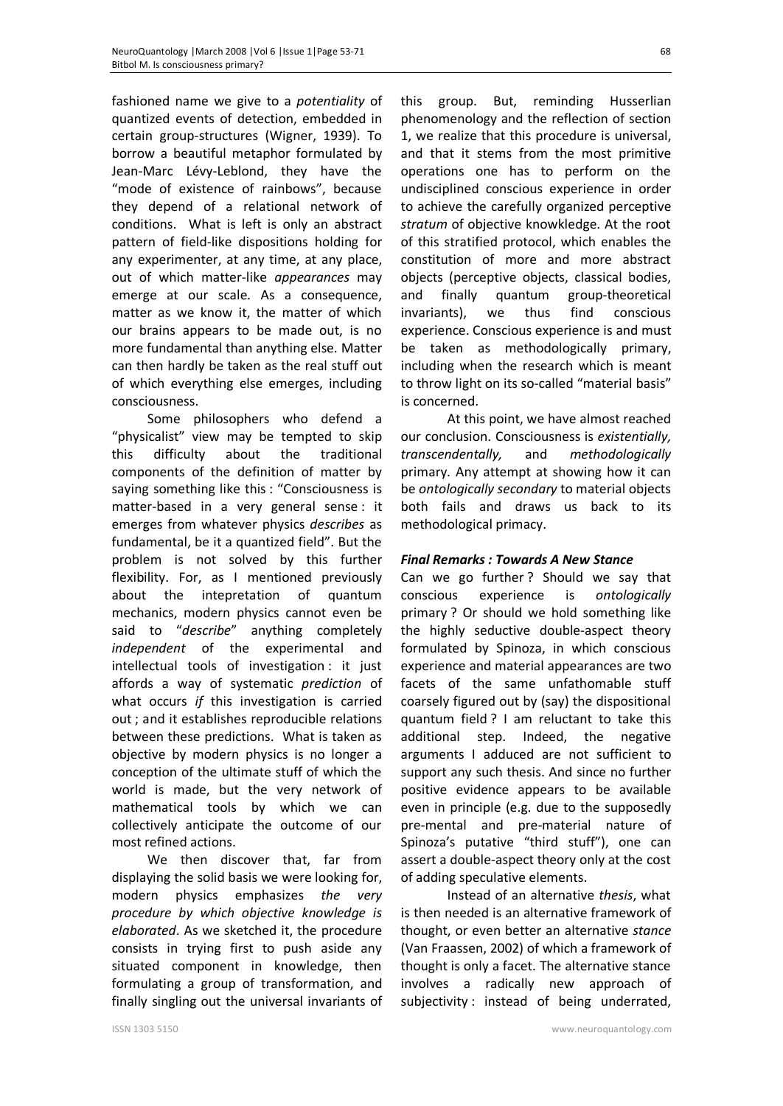fashioned name we give to a *potentiality* of quantized events of detection, embedded in certain group-structures (Wigner, 1939). To borrow a beautiful metaphor formulated by Jean-Marc Lévy-Leblond, they have the "mode of existence of rainbows", because they depend of a relational network of conditions. What is left is only an abstract pattern of field-like dispositions holding for any experimenter, at any time, at any place, out of which matter-like *appearances* may emerge at our scale. As a consequence, matter as we know it, the matter of which our brains appears to be made out, is no more fundamental than anything else. Matter can then hardly be taken as the real stuff out of which everything else emerges, including consciousness.

Some philosophers who defend a "physicalist" view may be tempted to skip this difficulty about the traditional components of the definition of matter by saying something like this : "Consciousness is matter-based in a very general sense : it emerges from whatever physics *describes* as fundamental, be it a quantized field". But the problem is not solved by this further flexibility. For, as I mentioned previously about the intepretation of quantum mechanics, modern physics cannot even be said to "*describe*" anything completely *independent* of the experimental and intellectual tools of investigation : it just affords a way of systematic *prediction* of what occurs *if* this investigation is carried out ; and it establishes reproducible relations between these predictions. What is taken as objective by modern physics is no longer a conception of the ultimate stuff of which the world is made, but the very network of mathematical tools by which we can collectively anticipate the outcome of our most refined actions.

We then discover that, far from displaying the solid basis we were looking for, modern physics emphasizes *the very procedure by which objective knowledge is elaborated*. As we sketched it, the procedure consists in trying first to push aside any situated component in knowledge, then formulating a group of transformation, and finally singling out the universal invariants of this group. But, reminding Husserlian phenomenology and the reflection of section 1, we realize that this procedure is universal, and that it stems from the most primitive operations one has to perform on the undisciplined conscious experience in order to achieve the carefully organized perceptive *stratum* of objective knowkledge. At the root of this stratified protocol, which enables the constitution of more and more abstract objects (perceptive objects, classical bodies, and finally quantum group-theoretical invariants), we thus find conscious experience. Conscious experience is and must be taken as methodologically primary, including when the research which is meant to throw light on its so-called "material basis" is concerned.

At this point, we have almost reached our conclusion. Consciousness is *existentially, transcendentally,* and *methodologically* primary. Any attempt at showing how it can be *ontologically secondary* to material objects both fails and draws us back to its methodological primacy.

#### *Final Remarks : Towards A New Stance*

Can we go further ? Should we say that conscious experience is *ontologically*  primary ? Or should we hold something like the highly seductive double-aspect theory formulated by Spinoza, in which conscious experience and material appearances are two facets of the same unfathomable stuff coarsely figured out by (say) the dispositional quantum field ? I am reluctant to take this additional step. Indeed, the negative arguments I adduced are not sufficient to support any such thesis. And since no further positive evidence appears to be available even in principle (e.g. due to the supposedly pre-mental and pre-material nature of Spinoza's putative "third stuff"), one can assert a double-aspect theory only at the cost of adding speculative elements.

Instead of an alternative *thesis*, what is then needed is an alternative framework of thought, or even better an alternative *stance*  (Van Fraassen, 2002) of which a framework of thought is only a facet. The alternative stance involves a radically new approach of subjectivity : instead of being underrated,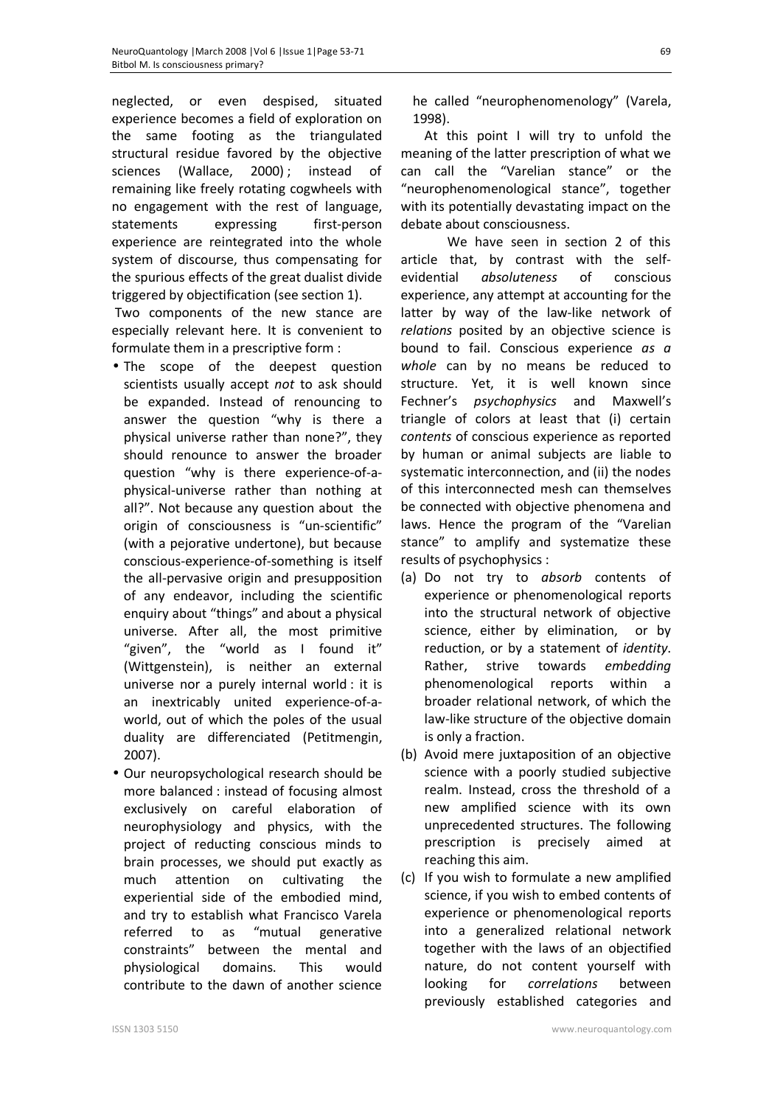neglected, or even despised, situated experience becomes a field of exploration on the same footing as the triangulated structural residue favored by the objective sciences (Wallace, 2000) ; instead of remaining like freely rotating cogwheels with no engagement with the rest of language, statements expressing first-person experience are reintegrated into the whole system of discourse, thus compensating for

the spurious effects of the great dualist divide triggered by objectification (see section 1). Two components of the new stance are especially relevant here. It is convenient to

- formulate them in a prescriptive form : • The scope of the deepest question scientists usually accept *not* to ask should be expanded. Instead of renouncing to answer the question "why is there a physical universe rather than none?", they should renounce to answer the broader question "why is there experience-of-aphysical-universe rather than nothing at all?". Not because any question about the origin of consciousness is "un-scientific" (with a pejorative undertone), but because conscious-experience-of-something is itself the all-pervasive origin and presupposition of any endeavor, including the scientific enquiry about "things" and about a physical universe. After all, the most primitive "given", the "world as I found it" (Wittgenstein), is neither an external universe nor a purely internal world : it is an inextricably united experience-of-aworld, out of which the poles of the usual duality are differenciated (Petitmengin, 2007).
- Our neuropsychological research should be more balanced : instead of focusing almost exclusively on careful elaboration of neurophysiology and physics, with the project of reducting conscious minds to brain processes, we should put exactly as much attention on cultivating the experiential side of the embodied mind, and try to establish what Francisco Varela referred to as "mutual generative constraints" between the mental and physiological domains. This would contribute to the dawn of another science

he called "neurophenomenology" (Varela, 1998).

At this point I will try to unfold the meaning of the latter prescription of what we can call the "Varelian stance" or the "neurophenomenological stance", together with its potentially devastating impact on the debate about consciousness.

We have seen in section 2 of this article that, by contrast with the selfevidential *absoluteness* of conscious experience, any attempt at accounting for the latter by way of the law-like network of *relations* posited by an objective science is bound to fail. Conscious experience *as a whole* can by no means be reduced to structure. Yet, it is well known since Fechner's *psychophysics* and Maxwell's triangle of colors at least that (i) certain *contents* of conscious experience as reported by human or animal subjects are liable to systematic interconnection, and (ii) the nodes of this interconnected mesh can themselves be connected with objective phenomena and laws. Hence the program of the "Varelian stance" to amplify and systematize these results of psychophysics :

- (a) Do not try to *absorb* contents of experience or phenomenological reports into the structural network of objective science, either by elimination, or by reduction, or by a statement of *identity*. Rather, strive towards *embedding* phenomenological reports within a broader relational network, of which the law-like structure of the objective domain is only a fraction.
- (b) Avoid mere juxtaposition of an objective science with a poorly studied subjective realm. Instead, cross the threshold of a new amplified science with its own unprecedented structures. The following prescription is precisely aimed at reaching this aim.
- (c) If you wish to formulate a new amplified science, if you wish to embed contents of experience or phenomenological reports into a generalized relational network together with the laws of an objectified nature, do not content yourself with looking for *correlations* between previously established categories and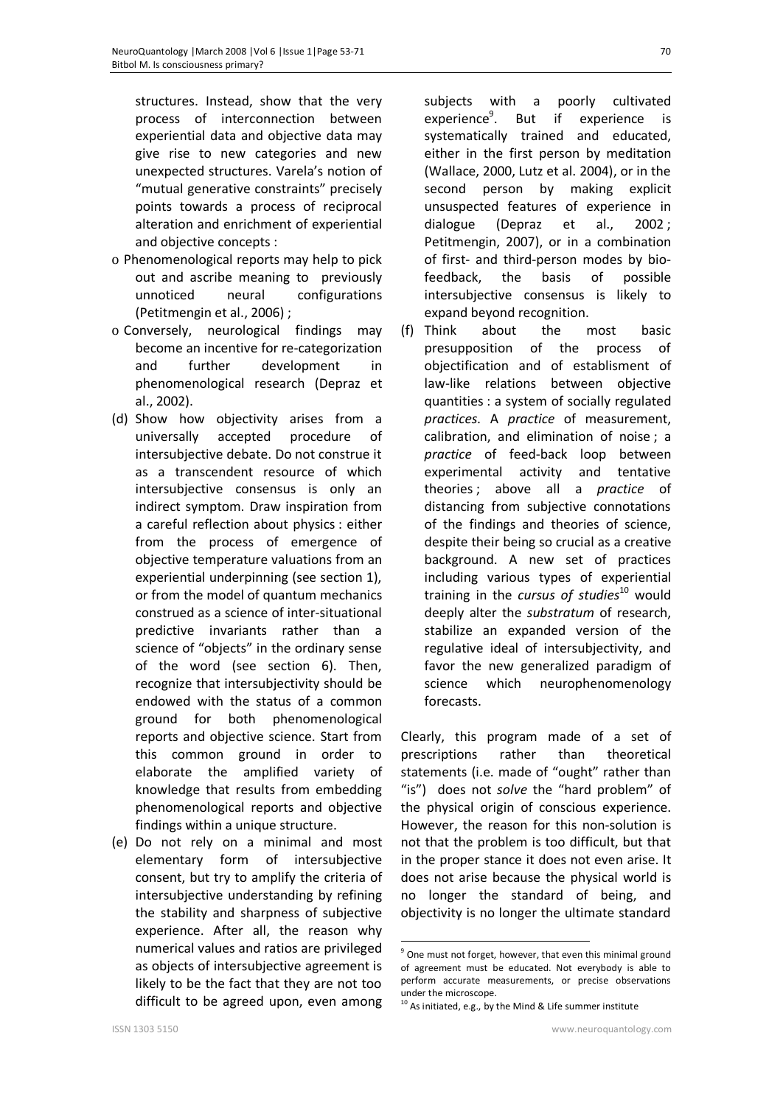structures. Instead, show that the very process of interconnection between experiential data and objective data may give rise to new categories and new unexpected structures. Varela's notion of "mutual generative constraints" precisely points towards a process of reciprocal alteration and enrichment of experiential and objective concepts :

- o Phenomenological reports may help to pick out and ascribe meaning to previously unnoticed neural configurations (Petitmengin et al., 2006) ;
- o Conversely, neurological findings may become an incentive for re-categorization and further development in phenomenological research (Depraz et al., 2002).
- (d) Show how objectivity arises from a universally accepted procedure of intersubjective debate. Do not construe it as a transcendent resource of which intersubjective consensus is only an indirect symptom. Draw inspiration from a careful reflection about physics : either from the process of emergence of objective temperature valuations from an experiential underpinning (see section 1), or from the model of quantum mechanics construed as a science of inter-situational predictive invariants rather than a science of "objects" in the ordinary sense of the word (see section 6). Then, recognize that intersubjectivity should be endowed with the status of a common ground for both phenomenological reports and objective science. Start from this common ground in order to elaborate the amplified variety of knowledge that results from embedding phenomenological reports and objective findings within a unique structure.
- (e) Do not rely on a minimal and most elementary form of intersubjective consent, but try to amplify the criteria of intersubjective understanding by refining the stability and sharpness of subjective experience. After all, the reason why numerical values and ratios are privileged as objects of intersubjective agreement is likely to be the fact that they are not too difficult to be agreed upon, even among

subjects with a poorly cultivated experience<sup>9</sup>. . But if experience is systematically trained and educated, either in the first person by meditation (Wallace, 2000, Lutz et al. 2004), or in the second person by making explicit unsuspected features of experience in dialogue (Depraz et al., 2002 ; Petitmengin, 2007), or in a combination of first- and third-person modes by biofeedback, the basis of possible intersubjective consensus is likely to expand beyond recognition.

(f) Think about the most basic presupposition of the process of objectification and of establisment of law-like relations between objective quantities : a system of socially regulated *practices*. A *practice* of measurement, calibration, and elimination of noise ; a *practice* of feed-back loop between experimental activity and tentative theories ; above all a *practice* of distancing from subjective connotations of the findings and theories of science, despite their being so crucial as a creative background. A new set of practices including various types of experiential training in the *cursus of studies*<sup>10</sup> would deeply alter the *substratum* of research, stabilize an expanded version of the regulative ideal of intersubjectivity, and favor the new generalized paradigm of science which neurophenomenology forecasts.

Clearly, this program made of a set of prescriptions rather than theoretical statements (i.e. made of "ought" rather than "is") does not *solve* the "hard problem" of the physical origin of conscious experience. However, the reason for this non-solution is not that the problem is too difficult, but that in the proper stance it does not even arise. It does not arise because the physical world is no longer the standard of being, and objectivity is no longer the ultimate standard

<sup>&</sup>lt;u>.</u> <sup>9</sup> One must not forget, however, that even this minimal ground of agreement must be educated. Not everybody is able to perform accurate measurements, or precise observations under the microscope.

 $10$  As initiated, e.g., by the Mind & Life summer institute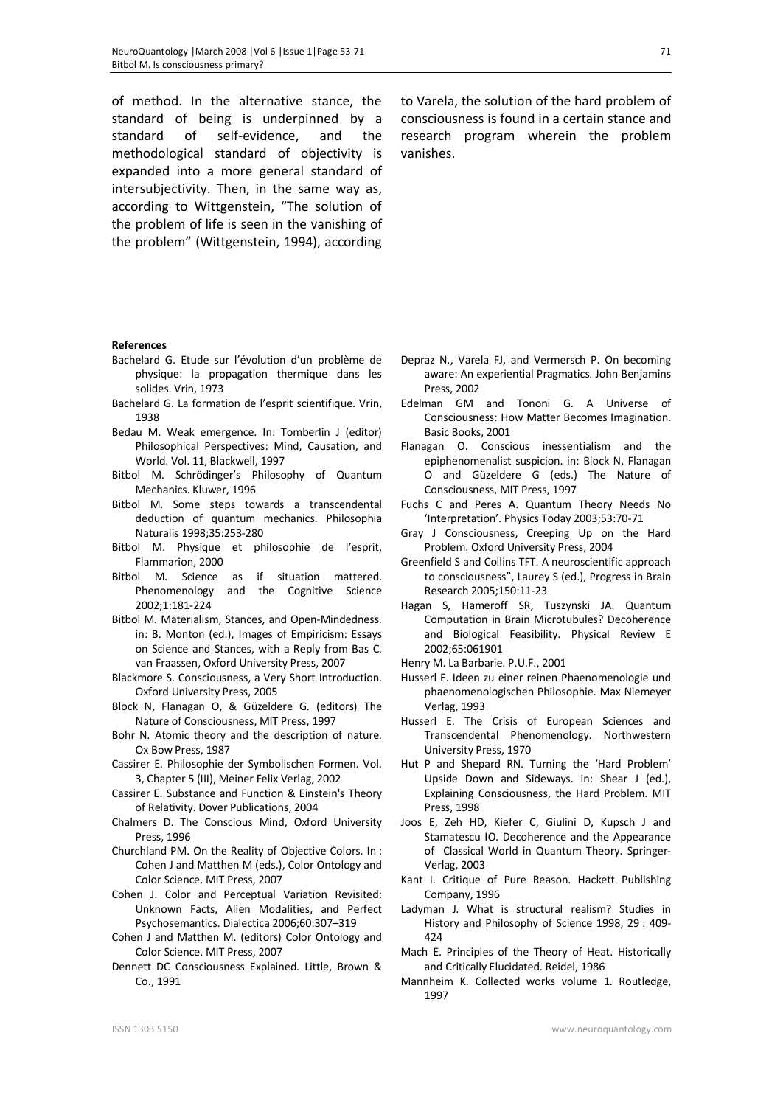of method. In the alternative stance, the standard of being is underpinned by a standard of self-evidence, and the methodological standard of objectivity is expanded into a more general standard of intersubjectivity. Then, in the same way as, according to Wittgenstein, "The solution of the problem of life is seen in the vanishing of the problem" (Wittgenstein, 1994), according

to Varela, the solution of the hard problem of consciousness is found in a certain stance and research program wherein the problem vanishes.

#### **References**

- Bachelard G. Etude sur l'évolution d'un problème de physique: la propagation thermique dans les solides. Vrin, 1973
- Bachelard G. La formation de l'esprit scientifique. Vrin, 1938
- Bedau M. Weak emergence. In: Tomberlin J (editor) Philosophical Perspectives: Mind, Causation, and World. Vol. 11, Blackwell, 1997
- Bitbol M. Schrödinger's Philosophy of Quantum Mechanics. Kluwer, 1996
- Bitbol M. Some steps towards a transcendental deduction of quantum mechanics. Philosophia Naturalis 1998;35:253-280
- Bitbol M. Physique et philosophie de l'esprit, Flammarion, 2000
- Bitbol M. Science as if situation mattered. Phenomenology and the Cognitive Science 2002;1:181-224
- Bitbol M. Materialism, Stances, and Open-Mindedness. in: B. Monton (ed.), Images of Empiricism: Essays on Science and Stances, with a Reply from Bas C. van Fraassen, Oxford University Press, 2007
- Blackmore S. Consciousness, a Very Short Introduction. Oxford University Press, 2005
- Block N, Flanagan O, & Güzeldere G. (editors) The Nature of Consciousness, MIT Press, 1997
- Bohr N. Atomic theory and the description of nature. Ox Bow Press, 1987
- Cassirer E. Philosophie der Symbolischen Formen. Vol. 3, Chapter 5 (III), Meiner Felix Verlag, 2002
- Cassirer E. Substance and Function & Einstein's Theory of Relativity. Dover Publications, 2004
- Chalmers D. The Conscious Mind, Oxford University Press, 1996
- Churchland PM. On the Reality of Objective Colors. In : Cohen J and Matthen M (eds.), Color Ontology and Color Science. MIT Press, 2007
- Cohen J. Color and Perceptual Variation Revisited: Unknown Facts, Alien Modalities, and Perfect Psychosemantics. Dialectica 2006;60:307–319
- Cohen J and Matthen M. (editors) Color Ontology and Color Science. MIT Press, 2007
- Dennett DC Consciousness Explained. Little, Brown & Co., 1991
- Depraz N., Varela FJ, and Vermersch P. On becoming aware: An experiential Pragmatics. John Benjamins Press, 2002
- Edelman GM and Tononi G. A Universe of Consciousness: How Matter Becomes Imagination. Basic Books, 2001
- Flanagan O. Conscious inessentialism and the epiphenomenalist suspicion. in: Block N, Flanagan O and Güzeldere G (eds.) The Nature of Consciousness, MIT Press, 1997
- Fuchs C and Peres A. Quantum Theory Needs No 'Interpretation'. Physics Today 2003;53:70-71
- Gray J Consciousness, Creeping Up on the Hard Problem. Oxford University Press, 2004
- Greenfield S and Collins TFT. A neuroscientific approach to consciousness", Laurey S (ed.), Progress in Brain Research 2005;150:11-23
- Hagan S, Hameroff SR, Tuszynski JA. Quantum Computation in Brain Microtubules? Decoherence and Biological Feasibility. Physical Review E 2002;65:061901

Henry M. La Barbarie. P.U.F., 2001

- Husserl E. Ideen zu einer reinen Phaenomenologie und phaenomenologischen Philosophie. Max Niemeyer Verlag, 1993
- Husserl E. The Crisis of European Sciences and Transcendental Phenomenology. Northwestern University Press, 1970
- Hut P and Shepard RN. Turning the 'Hard Problem' Upside Down and Sideways. in: Shear J (ed.), Explaining Consciousness, the Hard Problem. MIT Press, 1998
- Joos E, Zeh HD, Kiefer C, Giulini D, Kupsch J and Stamatescu IO. Decoherence and the Appearance of Classical World in Quantum Theory. Springer-Verlag, 2003
- Kant I. Critique of Pure Reason. Hackett Publishing Company, 1996
- Ladyman J. What is structural realism? Studies in History and Philosophy of Science 1998, 29 : 409- 424
- Mach E. Principles of the Theory of Heat. Historically and Critically Elucidated. Reidel, 1986
- Mannheim K. Collected works volume 1. Routledge, 1997